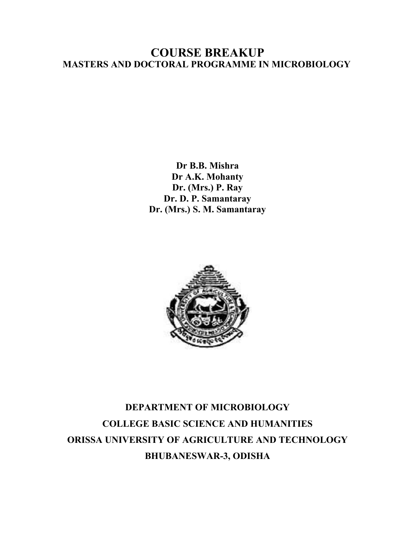### **COURSE BREAKUP MASTERS AND DOCTORAL PROGRAMME IN MICROBIOLOGY**

**Dr B.B. Mishra Dr A.K. Mohanty Dr. (Mrs.) P. Ray Dr. D. P. Samantaray Dr. (Mrs.) S. M. Samantaray** 



# **DEPARTMENT OF MICROBIOLOGY COLLEGE BASIC SCIENCE AND HUMANITIES ORISSA UNIVERSITY OF AGRICULTURE AND TECHNOLOGY BHUBANESWAR-3, ODISHA**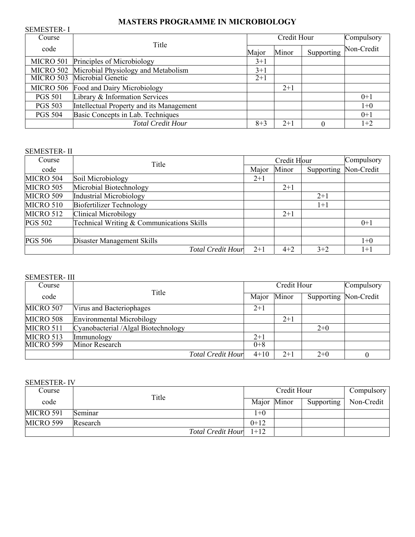### **MASTERS PROGRAMME IN MICROBIOLOGY**

| <b>SEMESTER-I</b> |                                               |             |       |            |            |
|-------------------|-----------------------------------------------|-------------|-------|------------|------------|
| Course            |                                               | Credit Hour |       |            | Compulsory |
| code              | Title<br>Major                                |             | Minor | Supporting | Non-Credit |
|                   | MICRO 501 Principles of Microbiology          | $3+1$       |       |            |            |
|                   | MICRO 502 Microbial Physiology and Metabolism | $3+1$       |       |            |            |
|                   | MICRO 503 Microbial Genetic                   | $2+1$       |       |            |            |
|                   | MICRO 506 Food and Dairy Microbiology         |             | $2+1$ |            |            |
| <b>PGS 501</b>    | Library & Information Services                |             |       |            | $0+1$      |
| <b>PGS 503</b>    | Intellectual Property and its Management      |             |       |            | $1+0$      |
| <b>PGS 504</b>    | Basic Concepts in Lab. Techniques             |             |       |            | $0+1$      |
|                   | <b>Total Credit Hour</b>                      | $8+3$       | $2+1$ |            | $1+2$      |

#### SEMESTER- II

| Course         | Title                                     | Credit Hour |         |                       | Compulsory |
|----------------|-------------------------------------------|-------------|---------|-----------------------|------------|
| code           |                                           | Major       | Minor   | Supporting Non-Credit |            |
| MICRO 504      | Soil Microbiology                         | $2+1$       |         |                       |            |
| MICRO 505      | Microbial Biotechnology                   |             | $2+1$   |                       |            |
| MICRO 509      | <b>Industrial Microbiology</b>            |             |         | $2+1$                 |            |
| MICRO 510      | <b>Biofertilizer Technology</b>           |             |         | $1 + 1$               |            |
| MICRO 512      | Clinical Microbilogy                      |             | $2 + 1$ |                       |            |
| <b>PGS 502</b> | Technical Writing & Communications Skills |             |         |                       | $0+1$      |
|                |                                           |             |         |                       |            |
| <b>PGS 506</b> | Disaster Management Skills                |             |         |                       | $1+0$      |
|                | <b>Total Credit Hour</b>                  | $2+1$       | $4 + 2$ | $3 + 2$               | $1 + 1$    |

#### SEMESTER- III

| Course           |                                     | Credit Hour              |         |         | Compulsory            |  |
|------------------|-------------------------------------|--------------------------|---------|---------|-----------------------|--|
| code             | Title                               |                          | Major   | Minor   | Supporting Non-Credit |  |
| MICRO 507        | Virus and Bacteriophages            |                          | $2+1$   |         |                       |  |
| <b>MICRO 508</b> | <b>Environmental Microbilogy</b>    |                          |         | $2 + 1$ |                       |  |
| MICRO 511        | Cyanobacterial /Algal Biotechnology |                          |         |         | $2+0$                 |  |
| MICRO 513        | Immunology                          |                          | $2+1$   |         |                       |  |
| <b>MICRO 599</b> | Minor Research                      |                          | $0 + 8$ |         |                       |  |
|                  |                                     | <b>Total Credit Hour</b> | $4+10$  | $2+1$   | $2+0$                 |  |

#### SEMESTER- IV

| Course    |                          | Credit Hour |  |            | Compulsory |
|-----------|--------------------------|-------------|--|------------|------------|
| code      | Title                    | Major Minor |  | Supporting | Non-Credit |
| MICRO 591 | Seminar                  | 1+0         |  |            |            |
| MICRO 599 | Research                 | $0+12$      |  |            |            |
|           | <b>Total Credit Hour</b> | $1+12$      |  |            |            |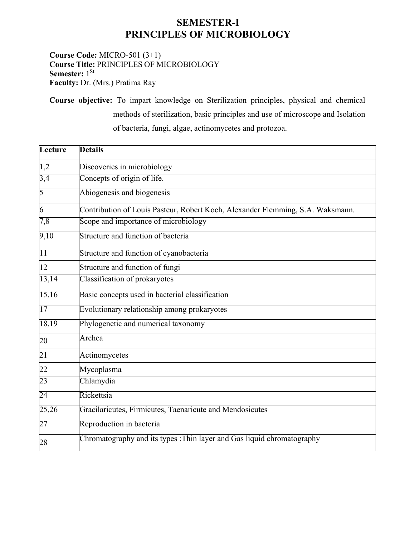### **SEMESTER-I PRINCIPLES OF MICROBIOLOGY**

**Course Code:** MICRO-501 (3+1) **Course Title:** PRINCIPLES OF MICROBIOLOGY **Semester:** 1<sup>St</sup> **Faculty:** Dr. (Mrs.) Pratima Ray

**Course objective:** To impart knowledge on Sterilization principles, physical and chemical methods of sterilization, basic principles and use of microscope and Isolation of bacteria, fungi, algae, actinomycetes and protozoa.

| Lecture          | <b>Details</b>                                                                 |
|------------------|--------------------------------------------------------------------------------|
| 1,2              | Discoveries in microbiology                                                    |
| $\overline{3,4}$ | Concepts of origin of life.                                                    |
| 5                | Abiogenesis and biogenesis                                                     |
| 6                | Contribution of Louis Pasteur, Robert Koch, Alexander Flemming, S.A. Waksmann. |
| 7,8              | Scope and importance of microbiology                                           |
| 9,10             | Structure and function of bacteria                                             |
| 11               | Structure and function of cyanobacteria                                        |
| 12               | Structure and function of fungi                                                |
| 13,14            | Classification of prokaryotes                                                  |
| 15,16            | Basic concepts used in bacterial classification                                |
| $\overline{17}$  | Evolutionary relationship among prokaryotes                                    |
| 18,19            | Phylogenetic and numerical taxonomy                                            |
| 20               | Archea                                                                         |
| 21               | Actinomycetes                                                                  |
| 22               | Mycoplasma                                                                     |
| 23               | Chlamydia                                                                      |
| 24               | Rickettsia                                                                     |
| 25,26            | Gracilaricutes, Firmicutes, Taenaricute and Mendosicutes                       |
| $\overline{27}$  | Reproduction in bacteria                                                       |
| 28               | Chromatography and its types : Thin layer and Gas liquid chromatography        |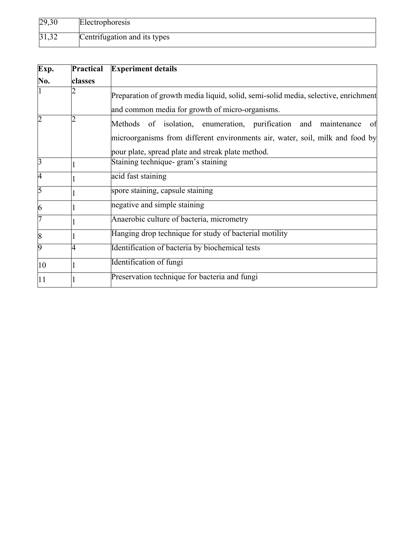| 29,30 | Electrophoresis              |
|-------|------------------------------|
| 31,32 | Centrifugation and its types |

| Exp.           | <b>Practical</b> | <b>Experiment details</b>                                                                                                                                                                                   |
|----------------|------------------|-------------------------------------------------------------------------------------------------------------------------------------------------------------------------------------------------------------|
| No.            | classes          |                                                                                                                                                                                                             |
|                |                  | Preparation of growth media liquid, solid, semi-solid media, selective, enrichment<br>and common media for growth of micro-organisms.                                                                       |
| $\overline{2}$ |                  | Methods of isolation, enumeration, purification and maintenance<br>of<br>microorganisms from different environments air, water, soil, milk and food by<br>pour plate, spread plate and streak plate method. |
| 3              |                  | Staining technique- gram's staining                                                                                                                                                                         |
| 4              |                  | acid fast staining                                                                                                                                                                                          |
| 5              |                  | spore staining, capsule staining                                                                                                                                                                            |
| 6              |                  | negative and simple staining                                                                                                                                                                                |
| 7              |                  | Anaerobic culture of bacteria, micrometry                                                                                                                                                                   |
| 8              |                  | Hanging drop technique for study of bacterial motility                                                                                                                                                      |
| 9              |                  | Identification of bacteria by biochemical tests                                                                                                                                                             |
| 10             |                  | Identification of fungi                                                                                                                                                                                     |
| 11             |                  | Preservation technique for bacteria and fungi                                                                                                                                                               |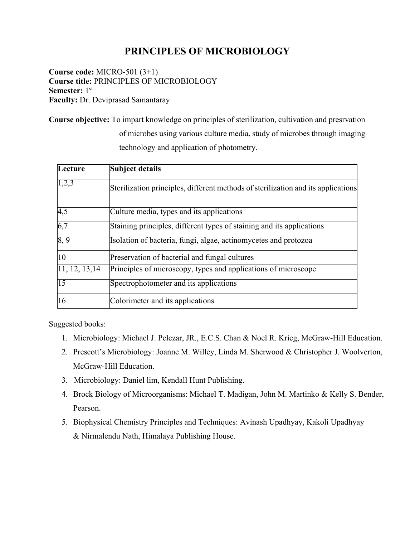## **PRINCIPLES OF MICROBIOLOGY**

**Course code:** MICRO-501 (3+1) **Course title:** PRINCIPLES OF MICROBIOLOGY **Semester:** 1st **Faculty:** Dr. Deviprasad Samantaray

**Course objective:** To impart knowledge on principles of sterilization, cultivation and presrvation of microbes using various culture media, study of microbes through imaging technology and application of photometry.

| Lecture         | Subject details                                                                   |
|-----------------|-----------------------------------------------------------------------------------|
| 1,2,3           | Sterilization principles, different methods of sterilization and its applications |
| 4,5             | Culture media, types and its applications                                         |
| 6,7             | Staining principles, different types of staining and its applications             |
| 8, 9            | Isolation of bacteria, fungi, algae, actinomycetes and protozoa                   |
| 10              | Preservation of bacterial and fungal cultures                                     |
| 11, 12, 13, 14  | Principles of microscopy, types and applications of microscope                    |
| $\overline{15}$ | Spectrophotometer and its applications                                            |
| 16              | Colorimeter and its applications                                                  |

- 1. Microbiology: Michael J. Pelczar, JR., E.C.S. Chan & Noel R. Krieg, McGraw-Hill Education.
- 2. Prescott's Microbiology: Joanne M. Willey, Linda M. Sherwood & Christopher J. Woolverton, McGraw-Hill Education.
- 3. Microbiology: Daniel lim, Kendall Hunt Publishing.
- 4. Brock Biology of Microorganisms: Michael T. Madigan, John M. Martinko & Kelly S. Bender, Pearson.
- 5. Biophysical Chemistry Principles and Techniques: Avinash Upadhyay, Kakoli Upadhyay & Nirmalendu Nath, Himalaya Publishing House.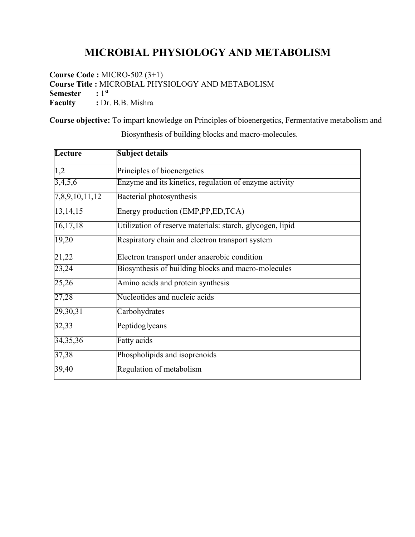# **MICROBIAL PHYSIOLOGY AND METABOLISM**

**Course Code :** MICRO-502 (3+1) **Course Title : MICROBIAL PHYSIOLOGY AND METABOLISM**<br>**Semester** : 1<sup>st</sup> **Semester Faculty** : Dr. B.B. Mishra

**Course objective:** To impart knowledge on Principles of bioenergetics, Fermentative metabolism and

| Lecture        | Subject details                                           |
|----------------|-----------------------------------------------------------|
| 1,2            | Principles of bioenergetics                               |
| 3,4,5,6        | Enzyme and its kinetics, regulation of enzyme activity    |
| 7,8,9,10,11,12 | Bacterial photosynthesis                                  |
| 13, 14, 15     | Energy production (EMP, PP, ED, TCA)                      |
| 16, 17, 18     | Utilization of reserve materials: starch, glycogen, lipid |
| 19,20          | Respiratory chain and electron transport system           |
| 21,22          | Electron transport under anaerobic condition              |
| 23,24          | Biosynthesis of building blocks and macro-molecules       |
| 25,26          | Amino acids and protein synthesis                         |
| 27,28          | Nucleotides and nucleic acids                             |
| 29,30,31       | Carbohydrates                                             |
| 32,33          | Peptidoglycans                                            |
| 34, 35, 36     | <b>Fatty</b> acids                                        |
| 37,38          | Phospholipids and isoprenoids                             |
| 39,40          | Regulation of metabolism                                  |

Biosynthesis of building blocks and macro-molecules.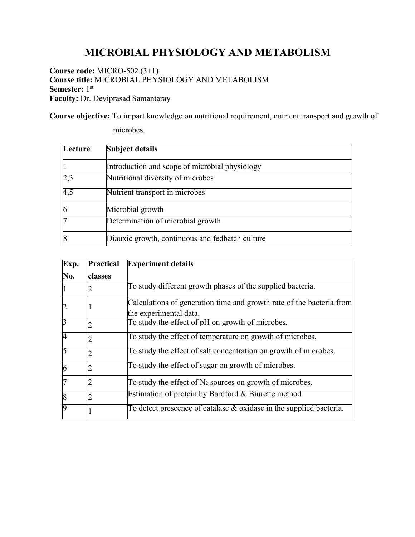# **MICROBIAL PHYSIOLOGY AND METABOLISM**

**Course code:** MICRO-502 (3+1) **Course title:** MICROBIAL PHYSIOLOGY AND METABOLISM **Semester:** 1st **Faculty:** Dr. Deviprasad Samantaray

**Course objective:** To impart knowledge on nutritional requirement, nutrient transport and growth of

microbes.

| Lecture | <b>Subject details</b>                          |
|---------|-------------------------------------------------|
|         | Introduction and scope of microbial physiology  |
| 2,3     | Nutritional diversity of microbes               |
| 4,5     | Nutrient transport in microbes                  |
| 6       | Microbial growth                                |
|         | Determination of microbial growth               |
| 8       | Diauxic growth, continuous and fedbatch culture |

| Exp.           | <b>Practical</b> | <b>Experiment details</b>                                              |
|----------------|------------------|------------------------------------------------------------------------|
| No.            | classes          |                                                                        |
|                |                  | To study different growth phases of the supplied bacteria.             |
|                |                  | Calculations of generation time and growth rate of the bacteria from   |
|                |                  | the experimental data.                                                 |
| $\overline{3}$ |                  | To study the effect of pH on growth of microbes.                       |
| $\overline{4}$ |                  | To study the effect of temperature on growth of microbes.              |
| 5              |                  | To study the effect of salt concentration on growth of microbes.       |
| 6              |                  | To study the effect of sugar on growth of microbes.                    |
| 7              |                  | To study the effect of $N_2$ sources on growth of microbes.            |
| $\overline{8}$ |                  | Estimation of protein by Bardford & Biurette method                    |
| $\overline{9}$ |                  | To detect prescence of catalase $\&$ oxidase in the supplied bacteria. |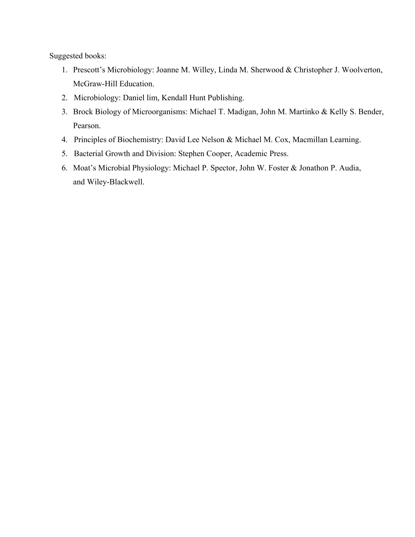- 1. Prescott's Microbiology: Joanne M. Willey, Linda M. Sherwood & Christopher J. Woolverton, McGraw-Hill Education.
- 2. Microbiology: Daniel lim, Kendall Hunt Publishing.
- 3. Brock Biology of Microorganisms: Michael T. Madigan, John M. Martinko & Kelly S. Bender, Pearson.
- 4. Principles of Biochemistry: David Lee Nelson & Michael M. Cox, Macmillan Learning.
- 5. Bacterial Growth and Division: Stephen Cooper, Academic Press.
- 6. Moat's Microbial Physiology: Michael P. Spector, John W. Foster & Jonathon P. Audia, and Wiley-Blackwell.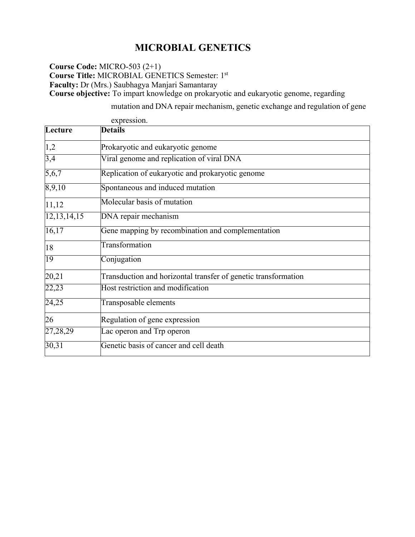## **MICROBIAL GENETICS**

**Course Code:** MICRO-503 (2+1) **Course Title:** MICROBIAL GENETICS Semester: 1st **Faculty:** Dr (Mrs.) Saubhagya Manjari Samantaray **Course objective:** To impart knowledge on prokaryotic and eukaryotic genome, regarding

mutation and DNA repair mechanism, genetic exchange and regulation of gene

|                | expression.                                                    |
|----------------|----------------------------------------------------------------|
| Lecture        | <b>Details</b>                                                 |
| 1,2            | Prokaryotic and eukaryotic genome                              |
| 3,4            | Viral genome and replication of viral DNA                      |
| 5,6,7          | Replication of eukaryotic and prokaryotic genome               |
| 8,9,10         | Spontaneous and induced mutation                               |
| 11,12          | Molecular basis of mutation                                    |
| 12, 13, 14, 15 | DNA repair mechanism                                           |
| 16,17          | Gene mapping by recombination and complementation              |
| 18             | Transformation                                                 |
| 19             | Conjugation                                                    |
| 20,21          | Transduction and horizontal transfer of genetic transformation |
| 22,23          | Host restriction and modification                              |
| 24,25          | Transposable elements                                          |
| 26             | Regulation of gene expression                                  |
| 27,28,29       | Lac operon and Trp operon                                      |
| 30,31          | Genetic basis of cancer and cell death                         |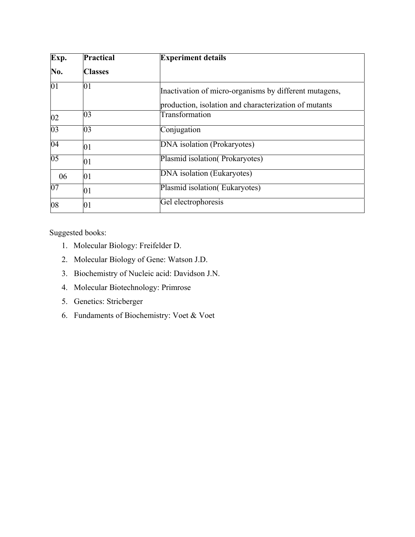| Exp.            | <b>Practical</b> | <b>Experiment details</b>                                                                                       |
|-----------------|------------------|-----------------------------------------------------------------------------------------------------------------|
| No.             | <b>Classes</b>   |                                                                                                                 |
| $\overline{01}$ | 01               | Inactivation of micro-organisms by different mutagens,<br>production, isolation and characterization of mutants |
| 02              | 03               | Transformation                                                                                                  |
| 03              | 03               | Conjugation                                                                                                     |
| 04              | 01               | DNA isolation (Prokaryotes)                                                                                     |
| $\overline{05}$ | 01               | Plasmid isolation (Prokaryotes)                                                                                 |
| 06              | 01               | DNA isolation (Eukaryotes)                                                                                      |
| 07              | 01               | Plasmid isolation (Eukaryotes)                                                                                  |
| 08              | 01               | Gel electrophoresis                                                                                             |

- 1. Molecular Biology: Freifelder D.
- 2. Molecular Biology of Gene: Watson J.D.
- 3. Biochemistry of Nucleic acid: Davidson J.N.
- 4. Molecular Biotechnology: Primrose
- 5. Genetics: Stricberger
- 6. Fundaments of Biochemistry: Voet & Voet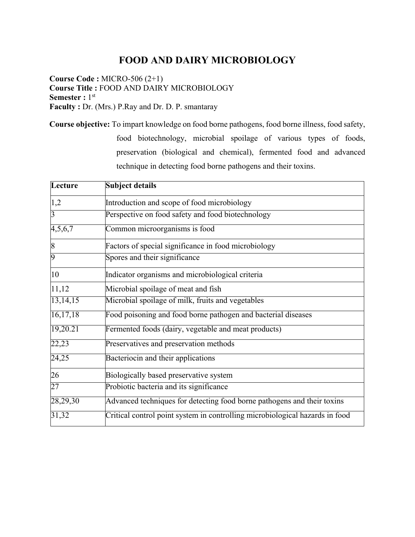### **FOOD AND DAIRY MICROBIOLOGY**

**Course Code :** MICRO-506 (2+1) **Course Title :** FOOD AND DAIRY MICROBIOLOGY **Semester :** 1<sup>st</sup> **Faculty :** Dr. (Mrs.) P.Ray and Dr. D. P. smantaray

**Course objective:** To impart knowledge on food borne pathogens, food borne illness, food safety,

food biotechnology, microbial spoilage of various types of foods, preservation (biological and chemical), fermented food and advanced technique in detecting food borne pathogens and their toxins.

| Lecture          | <b>Subject details</b>                                                       |
|------------------|------------------------------------------------------------------------------|
| 1,2              | Introduction and scope of food microbiology                                  |
| $\overline{3}$   | Perspective on food safety and food biotechnology                            |
| 4,5,6,7          | Common microorganisms is food                                                |
| $\boldsymbol{8}$ | Factors of special significance in food microbiology                         |
| $\overline{9}$   | Spores and their significance                                                |
| 10               | Indicator organisms and microbiological criteria                             |
| 11,12            | Microbial spoilage of meat and fish                                          |
| 13, 14, 15       | Microbial spoilage of milk, fruits and vegetables                            |
| 16, 17, 18       | Food poisoning and food borne pathogen and bacterial diseases                |
| 19,20.21         | Fermented foods (dairy, vegetable and meat products)                         |
| 22,23            | Preservatives and preservation methods                                       |
| 24,25            | Bacteriocin and their applications                                           |
| 26               | Biologically based preservative system                                       |
| 27               | Probiotic bacteria and its significance                                      |
| 28,29,30         | Advanced techniques for detecting food borne pathogens and their toxins      |
| 31,32            | Critical control point system in controlling microbiological hazards in food |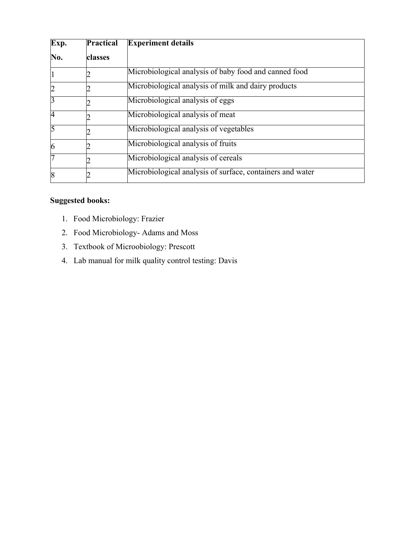| Exp.           | <b>Practical</b> | <b>Experiment details</b>                                 |
|----------------|------------------|-----------------------------------------------------------|
| No.            | classes          |                                                           |
|                |                  | Microbiological analysis of baby food and canned food     |
| $\overline{c}$ |                  | Microbiological analysis of milk and dairy products       |
| $\overline{3}$ |                  | Microbiological analysis of eggs                          |
| $\overline{4}$ |                  | Microbiological analysis of meat                          |
| 5              |                  | Microbiological analysis of vegetables                    |
| 6              |                  | Microbiological analysis of fruits                        |
| 7              |                  | Microbiological analysis of cereals                       |
| 8              |                  | Microbiological analysis of surface, containers and water |

- 1. Food Microbiology: Frazier
- 2. Food Microbiology- Adams and Moss
- 3. Textbook of Microobiology: Prescott
- 4. Lab manual for milk quality control testing: Davis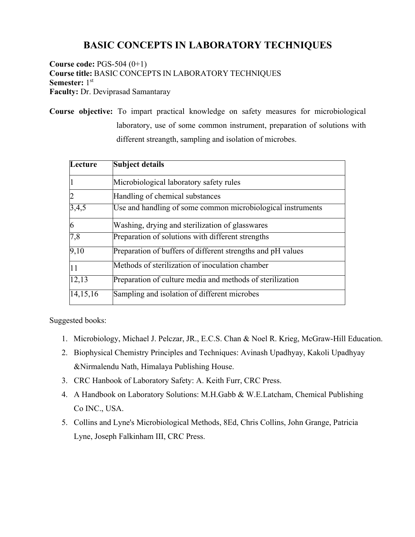### **BASIC CONCEPTS IN LABORATORY TECHNIQUES**

**Course code:** PGS-504 (0+1) **Course title:** BASIC CONCEPTS IN LABORATORY TECHNIQUES **Semester:** 1<sup>st</sup> **Faculty:** Dr. Deviprasad Samantaray

**Course objective:** To impart practical knowledge on safety measures for microbiological laboratory, use of some common instrument, preparation of solutions with different streangth, sampling and isolation of microbes.

| Lecture        | <b>Subject details</b>                                      |
|----------------|-------------------------------------------------------------|
|                | Microbiological laboratory safety rules                     |
| $\overline{2}$ | Handling of chemical substances                             |
| 3,4,5          | Use and handling of some common microbiological instruments |
| 6              | Washing, drying and sterilization of glasswares             |
| 7,8            | Preparation of solutions with different strengths           |
| 9,10           | Preparation of buffers of different strengths and pH values |
| 11             | Methods of sterilization of inoculation chamber             |
| 12,13          | Preparation of culture media and methods of sterilization   |
| 14, 15, 16     | Sampling and isolation of different microbes                |

- 1. Microbiology, Michael J. Pelczar, JR., E.C.S. Chan & Noel R. Krieg, McGraw-Hill Education.
- 2. Biophysical Chemistry Principles and Techniques: Avinash Upadhyay, Kakoli Upadhyay &Nirmalendu Nath, Himalaya Publishing House.
- 3. CRC Hanbook of Laboratory Safety: A. Keith Furr, CRC Press.
- 4. A Handbook on Laboratory Solutions: M.H.Gabb & W.E.Latcham, Chemical Publishing Co INC., USA.
- 5. Collins and Lyne's Microbiological Methods, 8Ed, Chris Collins, John Grange, Patricia Lyne, Joseph Falkinham III, CRC Press.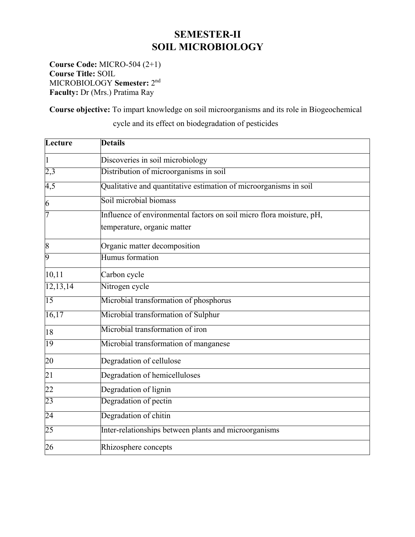### **SEMESTER-II SOIL MICROBIOLOGY**

**Course Code:** MICRO-504 (2+1) **Course Title:** SOIL MICROBIOLOGY **Semester:** 2nd **Faculty:** Dr (Mrs.) Pratima Ray

**Course objective:** To impart knowledge on soil microorganisms and its role in Biogeochemical

**Lecture Details** Discoveries in soil microbiology 2,3 Distribution of microorganisms in soil 4,5 Qualitative and quantitative estimation of microorganisms in soil 6 Soil microbial biomass Influence of environmental factors on soil micro flora moisture, pH, temperature, organic matter 8 Organic matter decomposition Humus formation 10,11 Carbon cycle 12,13,14 Nitrogen cycle 15 Microbial transformation of phosphorus 16,17 Microbial transformation of Sulphur 18 Microbial transformation of iron 19 Microbial transformation of manganese 20 Degradation of cellulose 21 Degradation of hemicelluloses 22 Degradation of lignin 23 Degradation of pectin 24 Degradation of chitin 25 Inter-relationships between plants and microorganisms 26 Rhizosphere concepts

cycle and its effect on biodegradation of pesticides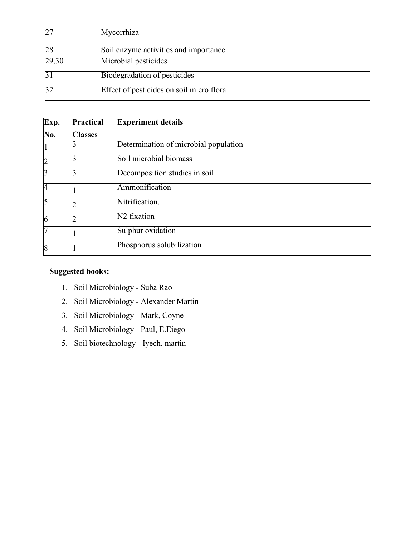| 27    | Mycorrhiza                               |
|-------|------------------------------------------|
| 28    | Soil enzyme activities and importance    |
| 29,30 | Microbial pesticides                     |
|       | Biodegradation of pesticides             |
|       | Effect of pesticides on soil micro flora |

| Exp.           | Practical      | <b>Experiment details</b>             |
|----------------|----------------|---------------------------------------|
| No.            | <b>Classes</b> |                                       |
|                |                | Determination of microbial population |
| $\overline{c}$ |                | Soil microbial biomass                |
| 3              |                | Decomposition studies in soil         |
| $\overline{4}$ |                | Ammonification                        |
| 5              |                | Nitrification,                        |
| 6              |                | N <sub>2</sub> fixation               |
| 7              |                | Sulphur oxidation                     |
| 8              |                | Phosphorus solubilization             |

- 1. Soil Microbiology Suba Rao
- 2. Soil Microbiology Alexander Martin
- 3. Soil Microbiology Mark, Coyne
- 4. Soil Microbiology Paul, E.Eiego
- 5. Soil biotechnology Iyech, martin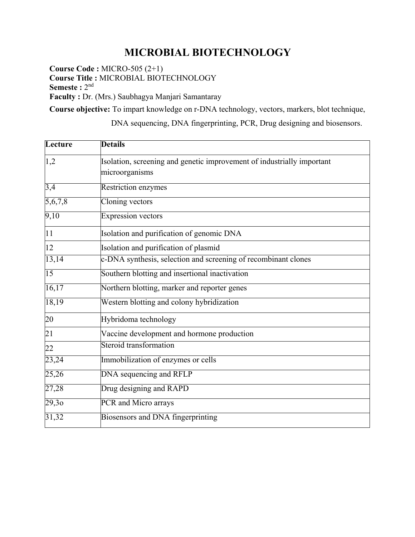# **MICROBIAL BIOTECHNOLOGY**

**Course Code :** MICRO-505 (2+1) **Course Title :** MICROBIAL BIOTECHNOLOGY **Semeste** : 2<sup>nd</sup> **Faculty :** Dr. (Mrs.) Saubhagya Manjari Samantaray

**Course objective:** To impart knowledge on r-DNA technology, vectors, markers, blot technique,

DNA sequencing, DNA fingerprinting, PCR, Drug designing and biosensors.

| Lecture          | <b>Details</b>                                                                           |
|------------------|------------------------------------------------------------------------------------------|
| 1,2              | Isolation, screening and genetic improvement of industrially important<br>microorganisms |
| $\overline{3,4}$ | Restriction enzymes                                                                      |
| 5,6,7,8          | Cloning vectors                                                                          |
| 9,10             | <b>Expression vectors</b>                                                                |
| 11               | Isolation and purification of genomic DNA                                                |
| 12               | Isolation and purification of plasmid                                                    |
| 13,14            | c-DNA synthesis, selection and screening of recombinant clones                           |
| 15               | Southern blotting and insertional inactivation                                           |
| 16,17            | Northern blotting, marker and reporter genes                                             |
| 18,19            | Western blotting and colony hybridization                                                |
| 20               | Hybridoma technology                                                                     |
| 21               | Vaccine development and hormone production                                               |
| 22               | Steroid transformation                                                                   |
| 23,24            | Immobilization of enzymes or cells                                                       |
| 25,26            | DNA sequencing and RFLP                                                                  |
| 27,28            | Drug designing and RAPD                                                                  |
| 29,30            | PCR and Micro arrays                                                                     |
| 31,32            | Biosensors and DNA fingerprinting                                                        |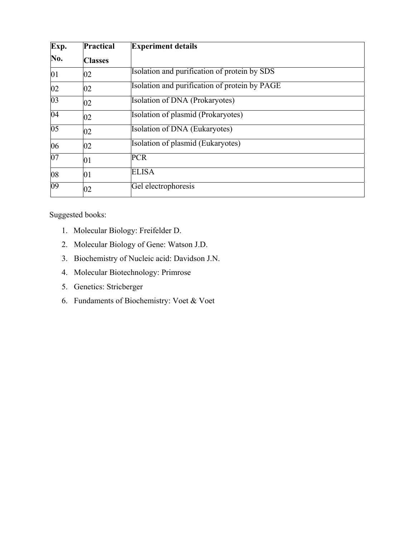| Exp.            | <b>Practical</b> | <b>Experiment details</b>                     |
|-----------------|------------------|-----------------------------------------------|
| No.             | <b>Classes</b>   |                                               |
| 01              | 02               | Isolation and purification of protein by SDS  |
| 02              | 02               | Isolation and purification of protein by PAGE |
| 03              | 02               | Isolation of DNA (Prokaryotes)                |
| 04              | 02               | Isolation of plasmid (Prokaryotes)            |
| $\overline{05}$ | 02               | Isolation of DNA (Eukaryotes)                 |
| 06              | 02               | Isolation of plasmid (Eukaryotes)             |
| 07              | 01               | <b>PCR</b>                                    |
| 08              | 01               | <b>ELISA</b>                                  |
| $\overline{09}$ | 02               | Gel electrophoresis                           |

- 1. Molecular Biology: Freifelder D.
- 2. Molecular Biology of Gene: Watson J.D.
- 3. Biochemistry of Nucleic acid: Davidson J.N.
- 4. Molecular Biotechnology: Primrose
- 5. Genetics: Stricberger
- 6. Fundaments of Biochemistry: Voet & Voet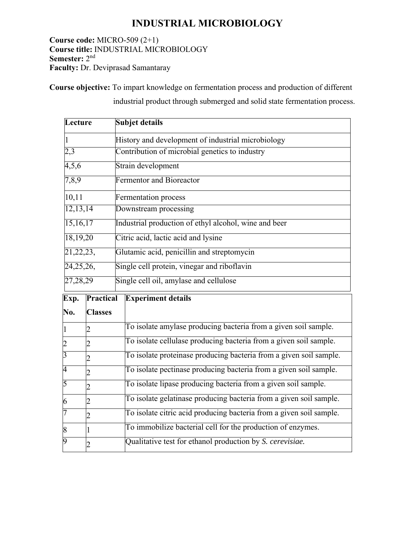### **INDUSTRIAL MICROBIOLOGY**

**Course code:** MICRO-509 (2+1) **Course title:** INDUSTRIAL MICROBIOLOGY **Semester:** 2nd **Faculty:** Dr. Deviprasad Samantaray

**Course objective:** To impart knowledge on fermentation process and production of different

industrial product through submerged and solid state fermentation process.

| Lecture        |                | <b>Subjet details</b>                                               |
|----------------|----------------|---------------------------------------------------------------------|
| 1              |                | History and development of industrial microbiology                  |
| 2,3            |                | Contribution of microbial genetics to industry                      |
| 4,5,6          |                | Strain development                                                  |
| 7,8,9          |                | <b>Fermentor and Bioreactor</b>                                     |
| 10, 11         |                | <b>Fermentation process</b>                                         |
| 12, 13, 14     |                | Downstream processing                                               |
| 15,16,17       |                | Industrial production of ethyl alcohol, wine and beer               |
| 18,19,20       |                | Citric acid, lactic acid and lysine                                 |
| 21, 22, 23,    |                | Glutamic acid, penicillin and streptomycin                          |
| 24, 25, 26,    |                | Single cell protein, vinegar and riboflavin                         |
| 27,28,29       |                | Single cell oil, amylase and cellulose                              |
| Exp.           | Practical      | <b>Experiment details</b>                                           |
| No.            | <b>Classes</b> |                                                                     |
| 1              |                | To isolate amylase producing bacteria from a given soil sample.     |
| $\overline{c}$ | 2              | To isolate cellulase producing bacteria from a given soil sample.   |
| $\overline{3}$ | $\overline{2}$ | To isolate proteinase producing bacteria from a given soil sample.  |
| $\overline{4}$ | $\overline{2}$ | To isolate pectinase producing bacteria from a given soil sample.   |
| 5              | $\overline{2}$ | To isolate lipase producing bacteria from a given soil sample.      |
| 6              | 2              | To isolate gelatinase producing bacteria from a given soil sample.  |
| 7              | 2              | To isolate citric acid producing bacteria from a given soil sample. |
| 8              | 1              | To immobilize bacterial cell for the production of enzymes.         |
| 9              | 2              | Qualitative test for ethanol production by S. cerevisiae.           |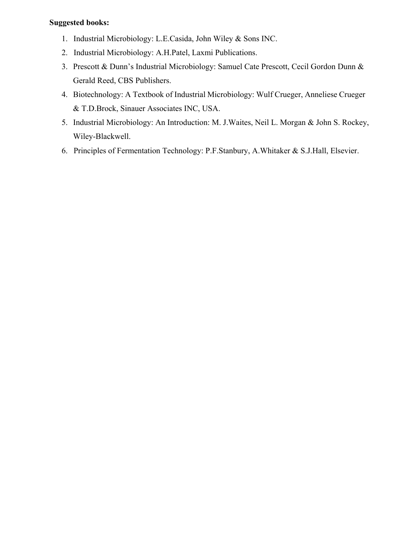- 1. Industrial Microbiology: L.E.Casida, John Wiley & Sons INC.
- 2. Industrial Microbiology: A.H.Patel, Laxmi Publications.
- 3. Prescott & Dunn's Industrial Microbiology: Samuel Cate Prescott, Cecil Gordon Dunn & Gerald Reed, CBS Publishers.
- 4. Biotechnology: A Textbook of Industrial Microbiology: Wulf Crueger, Anneliese Crueger & T.D.Brock, Sinauer Associates INC, USA.
- 5. Industrial Microbiology: An Introduction: M. J.Waites, Neil L. Morgan & John S. Rockey, Wiley-Blackwell.
- 6. Principles of Fermentation Technology: P.F.Stanbury, A.Whitaker & S.J.Hall, Elsevier.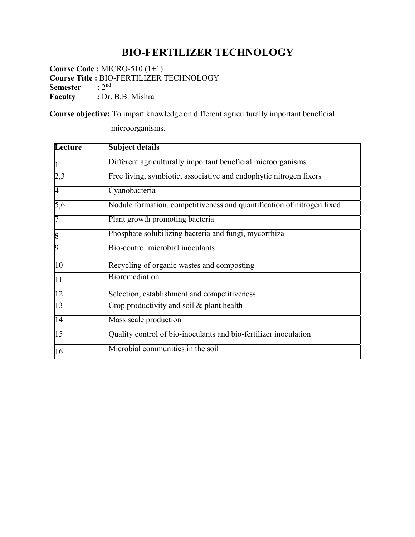# **BIO-FERTILIZER TECHNOLOGY**

**Course Code :** MICRO-510 (1+1) **Course Title : BIO-FERTILIZER TECHNOLOGY**<br>**Semester** :  $2^{nd}$ **Semester Faculty** : Dr. B.B. Mishra

microorganisms.

**Course objective:** To impart knowledge on different agriculturally important beneficial

**Lecture Subject details** Different agriculturally important beneficial microorganisms 2,3 Free living, symbiotic, associative and endophytic nitrogen fixers 4 Cyanobacteria 5,6 Nodule formation, competitiveness and quantification of nitrogen fixed Plant growth promoting bacteria 8 **Phosphate solubilizing bacteria and fungi**, mycorrhiza Bio-control microbial inoculants 10 Recycling of organic wastes and composting 11 Bioremediation 12 Selection, establishment and competitiveness 13 Crop productivity and soil & plant health 14 Mass scale production 15 Quality control of bio-inoculants and bio-fertilizer inoculation 16 Microbial communities in the soil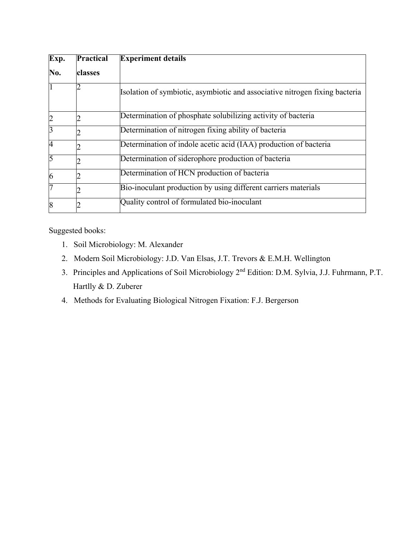| Exp.           | Practical | <b>Experiment details</b>                                                   |
|----------------|-----------|-----------------------------------------------------------------------------|
| No.            | classes   |                                                                             |
|                |           | Isolation of symbiotic, asymbiotic and associative nitrogen fixing bacteria |
|                |           | Determination of phosphate solubilizing activity of bacteria                |
| 3              |           | Determination of nitrogen fixing ability of bacteria                        |
| $\overline{4}$ |           | Determination of indole acetic acid (IAA) production of bacteria            |
| 5              |           | Determination of siderophore production of bacteria                         |
| 6              |           | Determination of HCN production of bacteria                                 |
|                |           | Bio-inoculant production by using different carriers materials              |
| 8              |           | Quality control of formulated bio-inoculant                                 |

- 1. Soil Microbiology: M. Alexander
- 2. Modern Soil Microbiology: J.D. Van Elsas, J.T. Trevors & E.M.H. Wellington
- 3. Principles and Applications of Soil Microbiology 2nd Edition: D.M. Sylvia, J.J. Fuhrmann, P.T. Hartlly & D. Zuberer
- 4. Methods for Evaluating Biological Nitrogen Fixation: F.J. Bergerson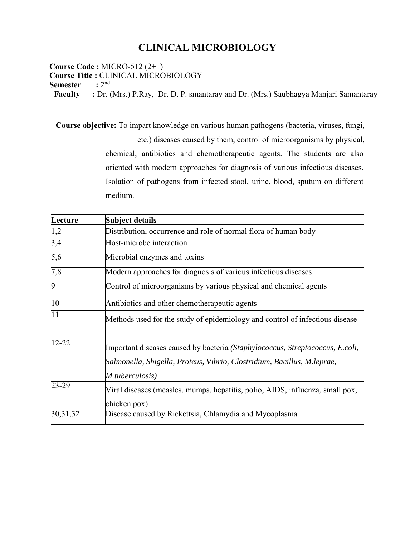### **CLINICAL MICROBIOLOGY**

**Course Code :** MICRO-512 (2+1) **Course Title : CLINICAL MICROBIOLOGY**<br>Semester : 2<sup>nd</sup> **Semester Faculty :** Dr. (Mrs.) P.Ray, Dr. D. P. smantaray and Dr. (Mrs.) Saubhagya Manjari Samantaray

**Course objective:** To impart knowledge on various human pathogens (bacteria, viruses, fungi, etc.) diseases caused by them, control of microorganisms by physical, chemical, antibiotics and chemotherapeutic agents. The students are also oriented with modern approaches for diagnosis of various infectious diseases. Isolation of pathogens from infected stool, urine, blood, sputum on different medium.

| Lecture         | <b>Subject details</b>                                                                                                                                                      |
|-----------------|-----------------------------------------------------------------------------------------------------------------------------------------------------------------------------|
| 1,2             | Distribution, occurrence and role of normal flora of human body                                                                                                             |
| 3,4             | Host-microbe interaction                                                                                                                                                    |
| 5,6             | Microbial enzymes and toxins                                                                                                                                                |
| 7,8             | Modern approaches for diagnosis of various infectious diseases                                                                                                              |
| $\overline{9}$  | Control of microorganisms by various physical and chemical agents                                                                                                           |
| 10              | Antibiotics and other chemotherapeutic agents                                                                                                                               |
| $\overline{11}$ | Methods used for the study of epidemiology and control of infectious disease                                                                                                |
| $12 - 22$       | Important diseases caused by bacteria (Staphylococcus, Streptococcus, E.coli,<br>Salmonella, Shigella, Proteus, Vibrio, Clostridium, Bacillus, M.leprae,<br>M.tuberculosis) |
| 23-29           | Viral diseases (measles, mumps, hepatitis, polio, AIDS, influenza, small pox,<br>chicken pox)                                                                               |
| 30, 31, 32      | Disease caused by Rickettsia, Chlamydia and Mycoplasma                                                                                                                      |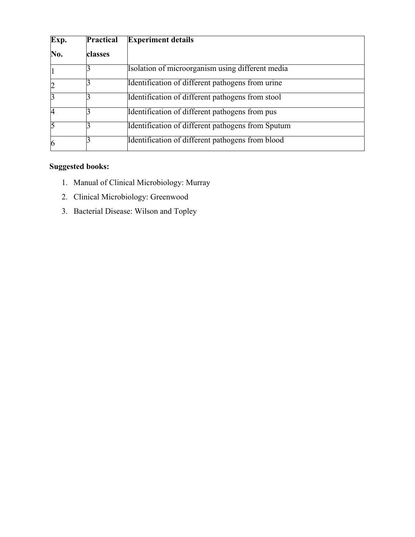| Exp.           | Practical | <b>Experiment details</b>                         |
|----------------|-----------|---------------------------------------------------|
| No.            | classes   |                                                   |
|                |           | Isolation of microorganism using different media  |
| $\overline{c}$ |           | Identification of different pathogens from urine  |
| 3              |           | Identification of different pathogens from stool  |
| 4              |           | Identification of different pathogens from pus    |
| 5              |           | Identification of different pathogens from Sputum |
| 6              |           | Identification of different pathogens from blood  |

- 1. Manual of Clinical Microbiology: Murray
- 2. Clinical Microbiology: Greenwood
- 3. Bacterial Disease: Wilson and Topley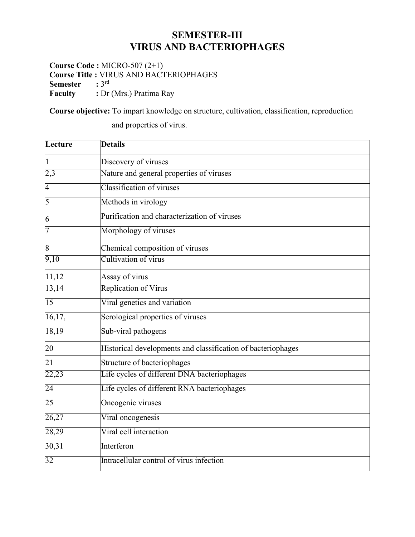### **SEMESTER-III VIRUS AND BACTERIOPHAGES**

**Course Code :** MICRO-507 (2+1) **Course Title : VIRUS AND BACTERIOPHAGES**<br>**Semester** : 3<sup>rd</sup> **Semester Faculty** : Dr (Mrs.) Pratima Ray

**Course objective:** To impart knowledge on structure, cultivation, classification, reproduction

and properties of virus.

| Lecture          | <b>Details</b>                                               |
|------------------|--------------------------------------------------------------|
| $\vert$ 1        | Discovery of viruses                                         |
| 2,3              | Nature and general properties of viruses                     |
| $\overline{4}$   | Classification of viruses                                    |
| $\overline{5}$   | Methods in virology                                          |
| 6                | Purification and characterization of viruses                 |
| 7                | Morphology of viruses                                        |
| $\boldsymbol{8}$ | Chemical composition of viruses                              |
| 9,10             | Cultivation of virus                                         |
| 11,12            | Assay of virus                                               |
| 13,14            | <b>Replication of Virus</b>                                  |
| 15               | Viral genetics and variation                                 |
| 16,17,           | Serological properties of viruses                            |
| 18,19            | Sub-viral pathogens                                          |
| 20               | Historical developments and classification of bacteriophages |
| 21               | Structure of bacteriophages                                  |
| 22,23            | Life cycles of different DNA bacteriophages                  |
| $\overline{24}$  | Life cycles of different RNA bacteriophages                  |
| 25               | Oncogenic viruses                                            |
| 26,27            | Viral oncogenesis                                            |
| 28,29            | Viral cell interaction                                       |
| 30,31            | Interferon                                                   |
| 32               | Intracellular control of virus infection                     |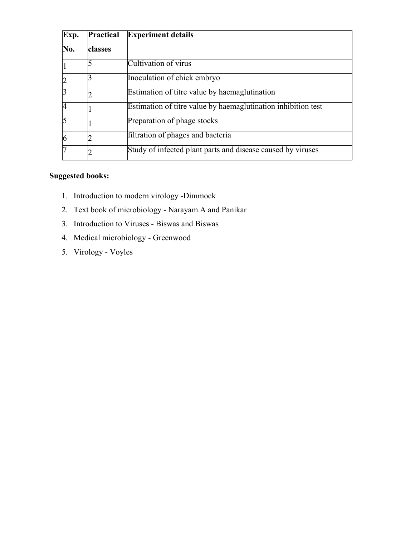| Exp.           | Practical | <b>Experiment details</b>                                     |
|----------------|-----------|---------------------------------------------------------------|
| No.            | classes   |                                                               |
|                |           | Cultivation of virus                                          |
|                |           | Inoculation of chick embryo                                   |
| 3              |           | Estimation of titre value by haemaglutination                 |
| $\overline{A}$ |           | Estimation of titre value by haemaglutination inhibition test |
| 5              |           | Preparation of phage stocks                                   |
| $\overline{6}$ |           | filtration of phages and bacteria                             |
| 7              |           | Study of infected plant parts and disease caused by viruses   |

- 1. Introduction to modern virology -Dimmock
- 2. Text book of microbiology Narayam.A and Panikar
- 3. Introduction to Viruses Biswas and Biswas
- 4. Medical microbiology Greenwood
- 5. Virology Voyles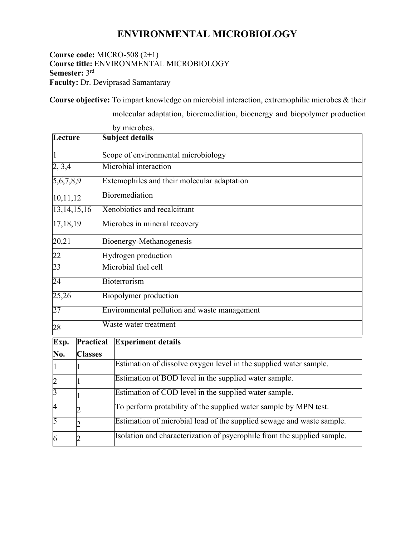### **ENVIRONMENTAL MICROBIOLOGY**

#### **Course code:** MICRO-508 (2+1) **Course title:** ENVIRONMENTAL MICROBIOLOGY **Semester:** 3rd **Faculty:** Dr. Deviprasad Samantaray

**Course objective:** To impart knowledge on microbial interaction, extremophilic microbes & their

molecular adaptation, bioremediation, bioenergy and biopolymer production

|                |                |                                     | by microbes.                                                            |  |  |  |  |
|----------------|----------------|-------------------------------------|-------------------------------------------------------------------------|--|--|--|--|
| Lecture        |                | <b>Subject details</b>              |                                                                         |  |  |  |  |
|                |                | Scope of environmental microbiology |                                                                         |  |  |  |  |
| 2, 3, 4        |                | Microbial interaction               |                                                                         |  |  |  |  |
| 5,6,7,8,9      |                |                                     | Extemophiles and their molecular adaptation                             |  |  |  |  |
| 10,11,12       |                |                                     | Bioremediation                                                          |  |  |  |  |
| 13,14,15,16    |                |                                     | Xenobiotics and recalcitrant                                            |  |  |  |  |
| 17,18,19       |                |                                     | Microbes in mineral recovery                                            |  |  |  |  |
| 20,21          |                |                                     | Bioenergy-Methanogenesis                                                |  |  |  |  |
| 22             |                |                                     | Hydrogen production                                                     |  |  |  |  |
| 23             |                |                                     | Microbial fuel cell                                                     |  |  |  |  |
| 24             |                |                                     | Bioterrorism                                                            |  |  |  |  |
| 25,26          |                |                                     | Biopolymer production                                                   |  |  |  |  |
| 27             |                |                                     | Environmental pollution and waste management                            |  |  |  |  |
| 28             |                |                                     | Waste water treatment                                                   |  |  |  |  |
| Exp.           | Practical      |                                     | <b>Experiment details</b>                                               |  |  |  |  |
| No.            | <b>Classes</b> |                                     |                                                                         |  |  |  |  |
| $\vert$ 1      |                |                                     | Estimation of dissolve oxygen level in the supplied water sample.       |  |  |  |  |
| $\overline{c}$ | 1              |                                     | Estimation of BOD level in the supplied water sample.                   |  |  |  |  |
| $\overline{3}$ |                |                                     | Estimation of COD level in the supplied water sample.                   |  |  |  |  |
| $\overline{4}$ | $\overline{2}$ |                                     | To perform protability of the supplied water sample by MPN test.        |  |  |  |  |
| 5              | $\overline{2}$ |                                     | Estimation of microbial load of the supplied sewage and waste sample.   |  |  |  |  |
| 6              | 2              |                                     | Isolation and characterization of psycrophile from the supplied sample. |  |  |  |  |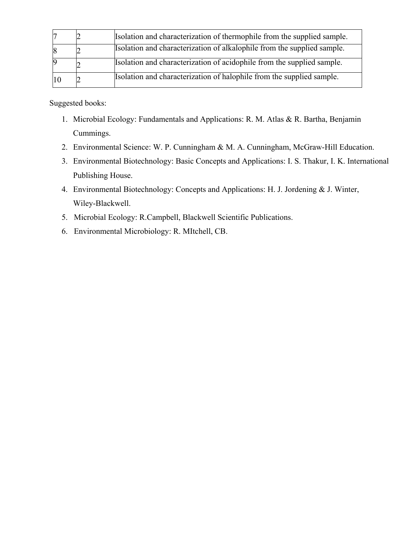|   | Isolation and characterization of thermophile from the supplied sample. |
|---|-------------------------------------------------------------------------|
| 8 | Isolation and characterization of alkalophile from the supplied sample. |
|   | Isolation and characterization of acidophile from the supplied sample.  |
|   | Isolation and characterization of halophile from the supplied sample.   |

- 1. Microbial Ecology: Fundamentals and Applications: R. M. Atlas & R. Bartha, Benjamin Cummings.
- 2. Environmental Science: W. P. Cunningham & M. A. Cunningham, McGraw-Hill Education.
- 3. Environmental Biotechnology: Basic Concepts and Applications: I. S. Thakur, I. K. International Publishing House.
- 4. Environmental Biotechnology: Concepts and Applications: H. J. Jordening & J. Winter, Wiley-Blackwell.
- 5. Microbial Ecology: R.Campbell, Blackwell Scientific Publications.
- 6. Environmental Microbiology: R. MItchell, CB.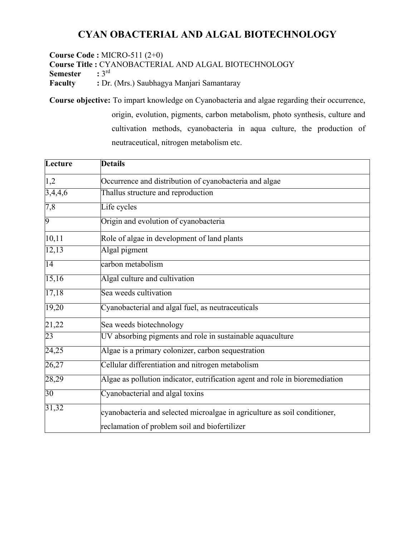## **CYAN OBACTERIAL AND ALGAL BIOTECHNOLOGY**

**Course Code :** MICRO-511 (2+0) **Course Title : CYANOBACTERIAL AND ALGAL BIOTECHNOLOGY**<br>**Semester** : 3<sup>rd</sup> **Semester Faculty** : Dr. (Mrs.) Saubhagya Manjari Samantaray

**Course objective:** To impart knowledge on Cyanobacteria and algae regarding their occurrence, origin, evolution, pigments, carbon metabolism, photo synthesis, culture and cultivation methods, cyanobacteria in aqua culture, the production of neutraceutical, nitrogen metabolism etc.

| Lecture         | <b>Details</b>                                                                                                             |  |  |  |
|-----------------|----------------------------------------------------------------------------------------------------------------------------|--|--|--|
| 1,2             | Occurrence and distribution of cyanobacteria and algae                                                                     |  |  |  |
| 3,4,4,6         | Thallus structure and reproduction                                                                                         |  |  |  |
| 7,8             | Life cycles                                                                                                                |  |  |  |
| 9               | Origin and evolution of cyanobacteria                                                                                      |  |  |  |
| 10,11           | Role of algae in development of land plants                                                                                |  |  |  |
| 12,13           | Algal pigment                                                                                                              |  |  |  |
| $\overline{14}$ | carbon metabolism                                                                                                          |  |  |  |
| 15,16           | Algal culture and cultivation                                                                                              |  |  |  |
| 17,18           | Sea weeds cultivation                                                                                                      |  |  |  |
| 19,20           | Cyanobacterial and algal fuel, as neutraceuticals                                                                          |  |  |  |
| 21,22           | Sea weeds biotechnology                                                                                                    |  |  |  |
| 23              | UV absorbing pigments and role in sustainable aquaculture                                                                  |  |  |  |
| 24,25           | Algae is a primary colonizer, carbon sequestration                                                                         |  |  |  |
| 26,27           | Cellular differentiation and nitrogen metabolism                                                                           |  |  |  |
| 28,29           | Algae as pollution indicator, eutrification agent and role in bioremediation                                               |  |  |  |
| $\overline{30}$ | Cyanobacterial and algal toxins                                                                                            |  |  |  |
| 31,32           | cyanobacteria and selected microalgae in agriculture as soil conditioner,<br>reclamation of problem soil and biofertilizer |  |  |  |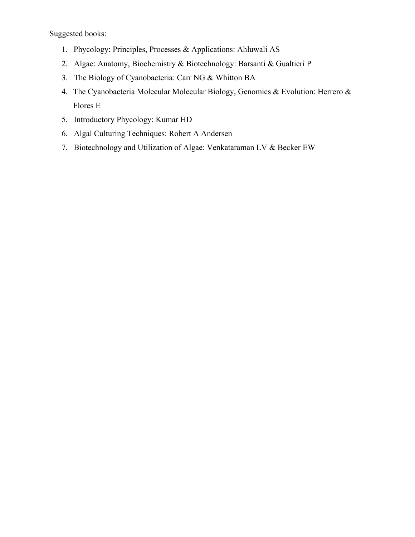- 1. Phycology: Principles, Processes & Applications: Ahluwali AS
- 2. Algae: Anatomy, Biochemistry & Biotechnology: Barsanti & Gualtieri P
- 3. The Biology of Cyanobacteria: Carr NG & Whitton BA
- 4. The Cyanobacteria Molecular Molecular Biology, Genomics & Evolution: Herrero & Flores E
- 5. Introductory Phycology: Kumar HD
- 6. Algal Culturing Techniques: Robert A Andersen
- 7. Biotechnology and Utilization of Algae: Venkataraman LV & Becker EW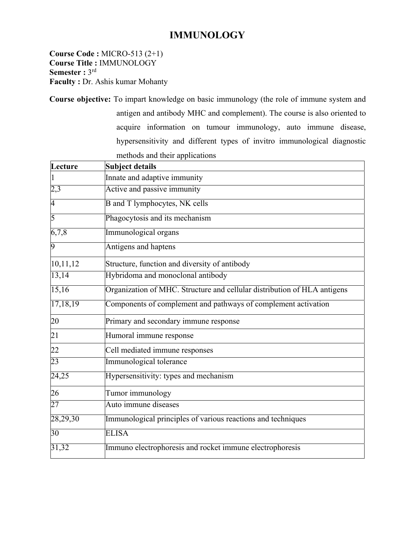### **IMMUNOLOGY**

**Course Code :** MICRO-513 (2+1) **Course Title :** IMMUNOLOGY **Semester :** 3rd **Faculty : Dr. Ashis kumar Mohanty** 

**Course objective:** To impart knowledge on basic immunology (the role of immune system and antigen and antibody MHC and complement). The course is also oriented to acquire information on tumour immunology, auto immune disease, hypersensitivity and different types of invitro immunological diagnostic methods and their applications

| Lecture        | Subject details                                                          |
|----------------|--------------------------------------------------------------------------|
|                | Innate and adaptive immunity                                             |
| 2,3            | Active and passive immunity                                              |
| $\overline{4}$ | <b>B</b> and T lymphocytes, NK cells                                     |
| $\overline{5}$ | Phagocytosis and its mechanism                                           |
| 6,7,8          | Immunological organs                                                     |
| 9              | Antigens and haptens                                                     |
| 10,11,12       | Structure, function and diversity of antibody                            |
| 13,14          | Hybridoma and monoclonal antibody                                        |
| 15,16          | Organization of MHC. Structure and cellular distribution of HLA antigens |
| 17,18,19       | Components of complement and pathways of complement activation           |
| 20             | Primary and secondary immune response                                    |
| 21             | Humoral immune response                                                  |
| 22             | Cell mediated immune responses                                           |
| 23             | Immunological tolerance                                                  |
| 24,25          | Hypersensitivity: types and mechanism                                    |
| 26             | Tumor immunology                                                         |
| 27             | Auto immune diseases                                                     |
| 28,29,30       | Immunological principles of various reactions and techniques             |
| 30             | <b>ELISA</b>                                                             |
| 31,32          | Immuno electrophoresis and rocket immune electrophoresis                 |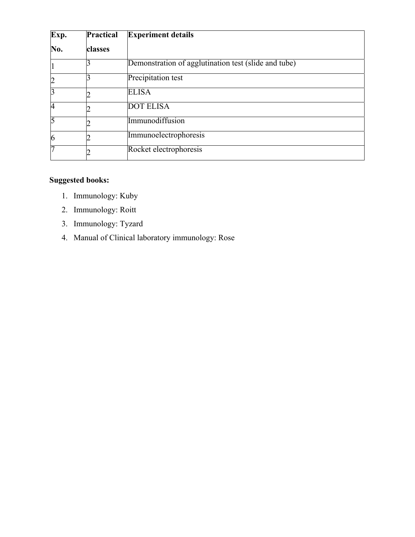| Exp.           | <b>Practical</b> | <b>Experiment details</b>                            |
|----------------|------------------|------------------------------------------------------|
| No.            | classes          |                                                      |
|                |                  | Demonstration of agglutination test (slide and tube) |
| $\overline{c}$ |                  | Precipitation test                                   |
| $\overline{3}$ |                  | <b>ELISA</b>                                         |
| $\overline{4}$ |                  | <b>DOT ELISA</b>                                     |
| 5              |                  | Immunodiffusion                                      |
| 6              |                  | Immunoelectrophoresis                                |
| 7              |                  | Rocket electrophoresis                               |

- 1. Immunology: Kuby
- 2. Immunology: Roitt
- 3. Immunology: Tyzard
- 4. Manual of Clinical laboratory immunology: Rose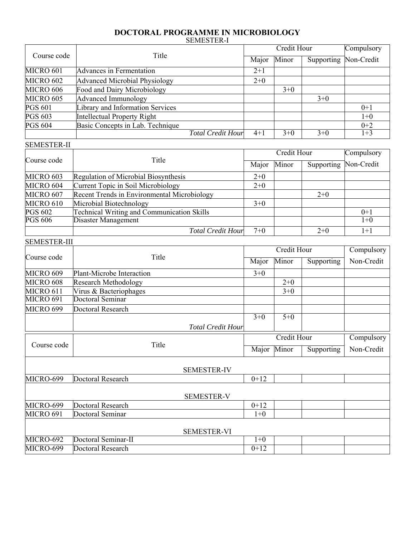#### **DOCTORAL PROGRAMME IN MICROBIOLOGY**  SEMESTER-I

|                |                                      |                          | Compulsory |       |                       |         |
|----------------|--------------------------------------|--------------------------|------------|-------|-----------------------|---------|
| Course code    | Title                                |                          | Major      | Minor | Supporting Non-Credit |         |
| MICRO 601      | <b>Advances in Fermentation</b>      |                          | $2+1$      |       |                       |         |
| MICRO 602      | <b>Advanced Microbial Physiology</b> |                          | $2+0$      |       |                       |         |
| MICRO 606      | Food and Dairy Microbiology          |                          |            | $3+0$ |                       |         |
| MICRO 605      | <b>Advanced Immunology</b>           |                          |            |       | $3+0$                 |         |
| <b>PGS 601</b> | Library and Information Services     |                          |            |       |                       | $0+1$   |
| <b>PGS 603</b> | Intellectual Property Right          |                          |            |       |                       | $1 + 0$ |
| <b>PGS 604</b> | Basic Concepts in Lab. Technique     |                          |            |       |                       | $0+2$   |
|                |                                      | <b>Total Credit Hour</b> | $4 + 1$    | $3+0$ | $3+0$                 | $1 + 3$ |

| <b>SEMESTER-II</b> |                                             |       |             |            |                       |
|--------------------|---------------------------------------------|-------|-------------|------------|-----------------------|
| Course code        | Title                                       |       | Credit Hour | Compulsory |                       |
|                    |                                             | Major | Minor       |            | Supporting Non-Credit |
| MICRO 603          | Regulation of Microbial Biosynthesis        | $2+0$ |             |            |                       |
| MICRO 604          | Current Topic in Soil Microbiology          | $2+0$ |             |            |                       |
| MICRO 607          | Recent Trends in Environmental Microbiology |       |             | $2+0$      |                       |
| MICRO 610          | Microbial Biotechnology                     | $3+0$ |             |            |                       |
| <b>PGS 602</b>     | Technical Writing and Communication Skills  |       |             |            | $0+1$                 |
| <b>PGS 606</b>     | Disaster Management                         |       |             |            | $1+0$                 |
|                    | <b>Total Credit Hour</b>                    | $7+0$ |             | $2+0$      | $1+1$                 |

| ULINILU I LIV-III | Title                     |         | Credit Hour        |            |            |  |
|-------------------|---------------------------|---------|--------------------|------------|------------|--|
| Course code       |                           |         | Minor              | Supporting | Non-Credit |  |
| MICRO 609         | Plant-Microbe Interaction | $3 + 0$ |                    |            |            |  |
| MICRO 608         | Research Methodology      |         | $2 + 0$            |            |            |  |
| MICRO 611         | Virus & Bacteriophages    |         | $3 + 0$            |            |            |  |
| MICRO 691         | Doctoral Seminar          |         |                    |            |            |  |
| MICRO 699         | Doctoral Research         |         |                    |            |            |  |
|                   |                           | $3+0$   | $5 + 0$            |            |            |  |
|                   | <b>Total Credit Hour</b>  |         |                    |            |            |  |
|                   |                           |         | <b>Credit Hour</b> |            | Compulsory |  |
| Course code       | Title                     |         | Minor              | Supporting | Non-Credit |  |
|                   | <b>SEMESTER-IV</b>        |         |                    |            |            |  |
| MICRO-699         | Doctoral Research         | $0+12$  |                    |            |            |  |
|                   | <b>SEMESTER-V</b>         |         |                    |            |            |  |
| MICRO-699         | Doctoral Research         | $0+12$  |                    |            |            |  |
| MICRO 691         | Doctoral Seminar          | $1 + 0$ |                    |            |            |  |
|                   | <b>SEMESTER-VI</b>        |         |                    |            |            |  |
| MICRO-692         | Doctoral Seminar-II       | $1+0$   |                    |            |            |  |
| MICRO-699         | Doctoral Research         | $0+12$  |                    |            |            |  |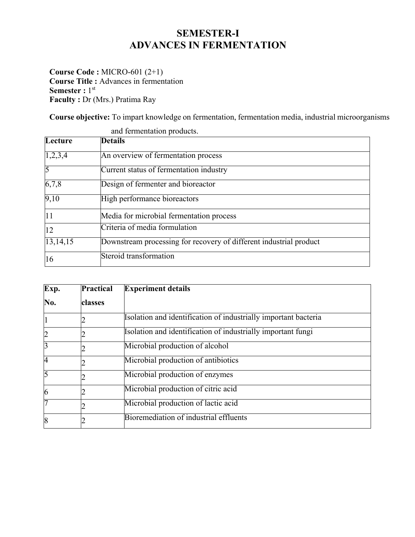## **SEMESTER-I ADVANCES IN FERMENTATION**

**Course Code :** MICRO-601 (2+1) **Course Title :** Advances in fermentation **Semester** : 1<sup>st</sup> **Faculty : Dr (Mrs.) Pratima Ray** 

**Course objective:** To impart knowledge on fermentation, fermentation media, industrial microorganisms

|                | and fermentation products.                                         |  |  |  |
|----------------|--------------------------------------------------------------------|--|--|--|
| Lecture        | Details                                                            |  |  |  |
| 1,2,3,4        | An overview of fermentation process                                |  |  |  |
| $\overline{5}$ | Current status of fermentation industry                            |  |  |  |
| 6,7,8          | Design of fermenter and bioreactor                                 |  |  |  |
| 9,10           | High performance bioreactors                                       |  |  |  |
| 11             | Media for microbial fermentation process                           |  |  |  |
| 12             | Criteria of media formulation                                      |  |  |  |
| 13, 14, 15     | Downstream processing for recovery of different industrial product |  |  |  |
| 16             | Steroid transformation                                             |  |  |  |

| Exp.           | <b>Practical</b> | <b>Experiment details</b>                                       |
|----------------|------------------|-----------------------------------------------------------------|
| No.            | classes          |                                                                 |
| $\mathbf{1}$   |                  | Isolation and identification of industrially important bacteria |
| $\overline{c}$ |                  | Isolation and identification of industrially important fungi    |
| $\overline{3}$ |                  | Microbial production of alcohol                                 |
| 4              |                  | Microbial production of antibiotics                             |
| 5              |                  | Microbial production of enzymes                                 |
| 6              |                  | Microbial production of citric acid                             |
| 7              |                  | Microbial production of lactic acid                             |
| 8              |                  | Bioremediation of industrial effluents                          |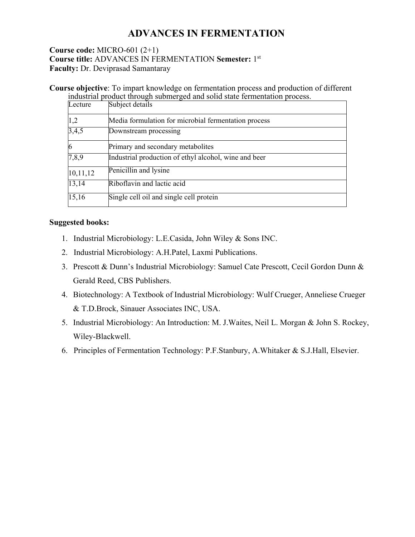### **ADVANCES IN FERMENTATION**

#### **Course code:** MICRO-601 (2+1) **Course title:** ADVANCES IN FERMENTATION **Semester:** 1st **Faculty:** Dr. Deviprasad Samantaray

**Course objective**: To impart knowledge on fermentation process and production of different industrial product through submerged and solid state fermentation process.

| Lecture  | Subject details                                       |
|----------|-------------------------------------------------------|
| 1,2      | Media formulation for microbial fermentation process  |
| 3,4,5    | Downstream processing                                 |
| O        | Primary and secondary metabolites                     |
| 7,8,9    | Industrial production of ethyl alcohol, wine and beer |
| 10,11,12 | Penicillin and lysine                                 |
| 13,14    | Riboflavin and lactic acid                            |
| 15,16    | Single cell oil and single cell protein               |

- 1. Industrial Microbiology: L.E.Casida, John Wiley & Sons INC.
- 2. Industrial Microbiology: A.H.Patel, Laxmi Publications.
- 3. Prescott & Dunn's Industrial Microbiology: Samuel Cate Prescott, Cecil Gordon Dunn & Gerald Reed, CBS Publishers.
- 4. Biotechnology: A Textbook of Industrial Microbiology: Wulf Crueger, Anneliese Crueger & T.D.Brock, Sinauer Associates INC, USA.
- 5. Industrial Microbiology: An Introduction: M. J.Waites, Neil L. Morgan & John S. Rockey, Wiley-Blackwell.
- 6. Principles of Fermentation Technology: P.F.Stanbury, A.Whitaker & S.J.Hall, Elsevier.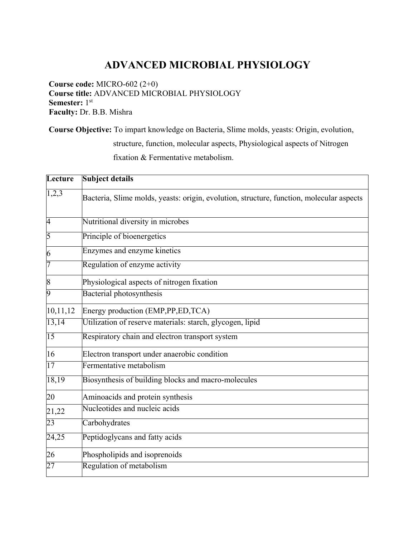# **ADVANCED MICROBIAL PHYSIOLOGY**

**Course code:** MICRO-602 (2+0) **Course title:** ADVANCED MICROBIAL PHYSIOLOGY **Semester:** 1<sup>st</sup> **Faculty:** Dr. B.B. Mishra

**Course Objective:** To impart knowledge on Bacteria, Slime molds, yeasts: Origin, evolution, structure, function, molecular aspects, Physiological aspects of Nitrogen fixation & Fermentative metabolism.

| Lecture        | <b>Subject details</b>                                                                   |
|----------------|------------------------------------------------------------------------------------------|
| 1,2,3          | Bacteria, Slime molds, yeasts: origin, evolution, structure, function, molecular aspects |
| $\overline{4}$ | Nutritional diversity in microbes                                                        |
| 5              | Principle of bioenergetics                                                               |
| 6              | Enzymes and enzyme kinetics                                                              |
| 7              | Regulation of enzyme activity                                                            |
| 8              | Physiological aspects of nitrogen fixation                                               |
| 9              | Bacterial photosynthesis                                                                 |
| 10,11,12       | Energy production (EMP,PP,ED,TCA)                                                        |
| 13,14          | Utilization of reserve materials: starch, glycogen, lipid                                |
| 15             | Respiratory chain and electron transport system                                          |
| 16             | Electron transport under anaerobic condition                                             |
| 17             | Fermentative metabolism                                                                  |
| 18,19          | Biosynthesis of building blocks and macro-molecules                                      |
| 20             | Aminoacids and protein synthesis                                                         |
| 21,22          | Nucleotides and nucleic acids                                                            |
| 23             | Carbohydrates                                                                            |
| 24,25          | Peptidoglycans and fatty acids                                                           |
| 26             | Phospholipids and isoprenoids                                                            |
| 27             | Regulation of metabolism                                                                 |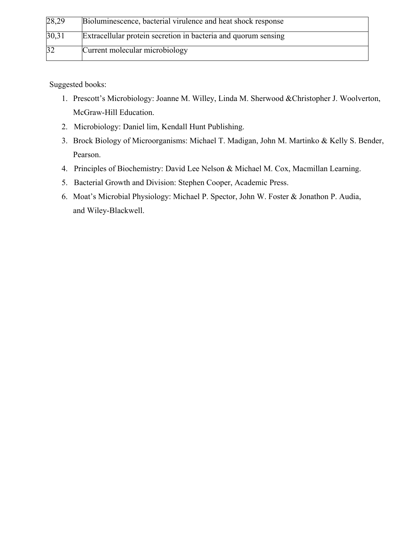| 28,29 | Bioluminescence, bacterial virulence and heat shock response   |
|-------|----------------------------------------------------------------|
| 30,31 | Extracellular protein secretion in bacteria and quorum sensing |
| 32    | Current molecular microbiology                                 |

- 1. Prescott's Microbiology: Joanne M. Willey, Linda M. Sherwood &Christopher J. Woolverton, McGraw-Hill Education.
- 2. Microbiology: Daniel lim, Kendall Hunt Publishing.
- 3. Brock Biology of Microorganisms: Michael T. Madigan, John M. Martinko & Kelly S. Bender, Pearson.
- 4. Principles of Biochemistry: David Lee Nelson & Michael M. Cox, Macmillan Learning.
- 5. Bacterial Growth and Division: Stephen Cooper, Academic Press.
- 6. Moat's Microbial Physiology: Michael P. Spector, John W. Foster & Jonathon P. Audia, and Wiley-Blackwell.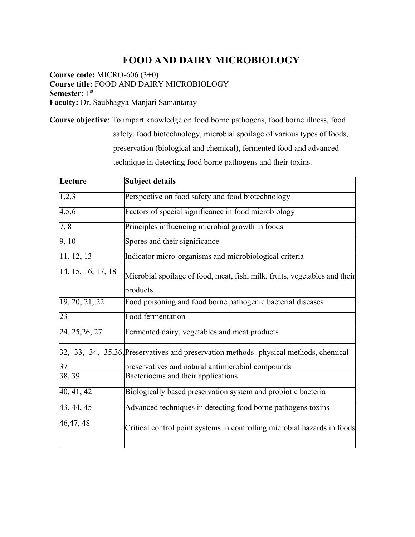### **FOOD AND DAIRY MICROBIOLOGY**

**Course code:** MICRO-606 (3+0) **Course title:** FOOD AND DAIRY MICROBIOLOGY **Semester:** 1st **Faculty:** Dr. Saubhagya Manjari Samantaray

**Course objective**: To impart knowledge on food borne pathogens, food borne illness, food safety, food biotechnology, microbial spoilage of various types of foods, preservation (biological and chemical), fermented food and advanced technique in detecting food borne pathogens and their toxins.

| Lecture                 | <b>Subject details</b>                                                                 |
|-------------------------|----------------------------------------------------------------------------------------|
| 1,2,3                   | Perspective on food safety and food biotechnology                                      |
| 4,5,6                   | Factors of special significance in food microbiology                                   |
| 7,8                     | Principles influencing microbial growth in foods                                       |
| 9, 10                   | Spores and their significance                                                          |
| $\overline{11, 12, 13}$ | Indicator micro-organisms and microbiological criteria                                 |
| 14, 15, 16, 17, 18      | Microbial spoilage of food, meat, fish, milk, fruits, vegetables and their<br>products |
| 19, 20, 21, 22          | Food poisoning and food borne pathogenic bacterial diseases                            |
|                         |                                                                                        |
| 23                      | Food fermentation                                                                      |
| 24, 25, 26, 27          | Fermented dairy, vegetables and meat products                                          |
|                         | 32, 33, 34, 35,36, Preservatives and preservation methods-physical methods, chemical   |
| 37                      | preservatives and natural antimicrobial compounds                                      |
| 38, 39                  | Bacteriocins and their applications                                                    |
| $\overline{40, 41, 42}$ | Biologically based preservation system and probiotic bacteria                          |
| 43, 44, 45              | Advanced techniques in detecting food borne pathogens toxins                           |
| 46, 47, 48              | Critical control point systems in controlling microbial hazards in foods               |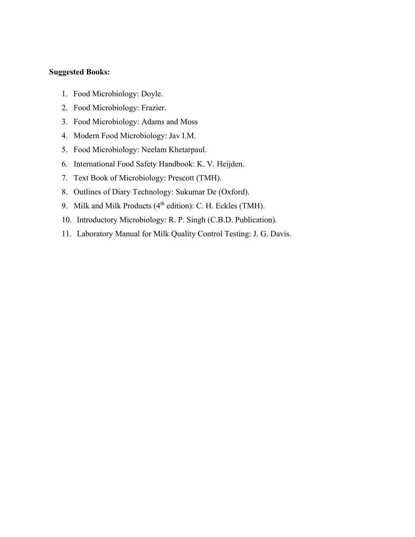- 1. Food Microbiology: Doyle.
- 2. Food Microbiology: Frazier.
- 3. Food Microbiology: Adams and Moss
- 4. Modern Food Microbiology: Jav I.M.
- 5. Food Microbiology: Neelam Khetarpaul.
- 6. International Food Safety Handbook: K. V. Heijden.
- 7. Text Book of Microbiology: Prescott (TMH).
- 8. Outlines of Diary Technology: Sukumar De (Oxford).
- 9. Milk and Milk Products ( $4<sup>th</sup>$  edition): C. H. Eckles (TMH).
- 10. Introductory Microbiology: R. P. Singh (C.B.D. Publication).
- 11. Laboratory Manual for Milk Quality Control Testing: J. G. Davis.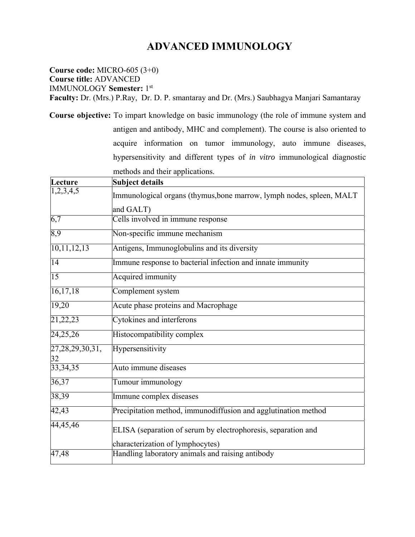## **ADVANCED IMMUNOLOGY**

**Course code:** MICRO-605 (3+0) **Course title:** ADVANCED IMMUNOLOGY **Semester:** 1st

**Faculty:** Dr. (Mrs.) P.Ray, Dr. D. P. smantaray and Dr. (Mrs.) Saubhagya Manjari Samantaray

**Course objective:** To impart knowledge on basic immunology (the role of immune system and antigen and antibody, MHC and complement). The course is also oriented to acquire information on tumor immunology, auto immune diseases, hypersensitivity and different types of *in vitro* immunological diagnostic methods and their applications.

| Lecture                   | . <sub>.</sub> .<br>------- <i>--</i> --<br><b>Subject details</b>                   |
|---------------------------|--------------------------------------------------------------------------------------|
| 1,2,3,4,5                 | Immunological organs (thymus, bone marrow, lymph nodes, spleen, MALT<br>and GALT)    |
| 6,7                       | Cells involved in immune response                                                    |
| 8,9                       | Non-specific immune mechanism                                                        |
| 10,11,12,13               | Antigens, Immunoglobulins and its diversity                                          |
| 14                        | Immune response to bacterial infection and innate immunity                           |
| 15                        | Acquired immunity                                                                    |
| 16, 17, 18                | Complement system                                                                    |
| 19,20                     | Acute phase proteins and Macrophage                                                  |
| 21,22,23                  | Cytokines and interferons                                                            |
| 24,25,26                  | Histocompatibility complex                                                           |
| 27, 28, 29, 30, 31,<br>32 | Hypersensitivity                                                                     |
| 33, 34, 35                | Auto immune diseases                                                                 |
| 36,37                     | Tumour immunology                                                                    |
| 38,39                     | Immune complex diseases                                                              |
| 42,43                     | Precipitation method, immunodiffusion and agglutination method                       |
| 44,45,46                  | ELISA (separation of serum by electrophoresis, separation and                        |
| 47,48                     | characterization of lymphocytes)<br>Handling laboratory animals and raising antibody |
|                           |                                                                                      |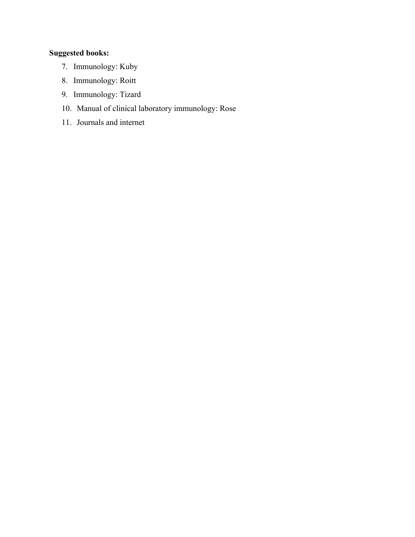- 7. Immunology: Kuby
- 8. Immunology: Roitt
- 9. Immunology: Tizard
- 10. Manual of clinical laboratory immunology: Rose
- 11. Journals and internet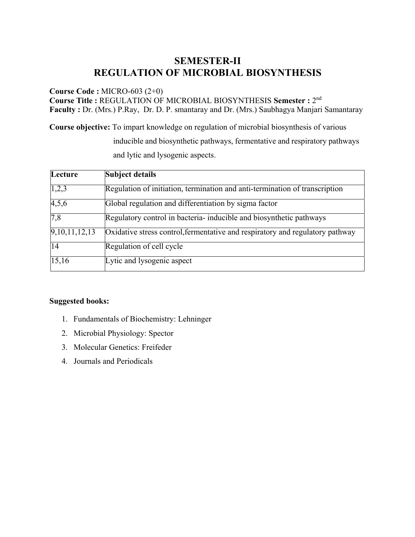### **SEMESTER-II REGULATION OF MICROBIAL BIOSYNTHESIS**

**Course Code :** MICRO-603 (2+0)

**Course Title :** REGULATION OF MICROBIAL BIOSYNTHESIS **Semester :** 2nd **Faculty :** Dr. (Mrs.) P.Ray, Dr. D. P. smantaray and Dr. (Mrs.) Saubhagya Manjari Samantaray

**Course objective:** To impart knowledge on regulation of microbial biosynthesis of various

inducible and biosynthetic pathways, fermentative and respiratory pathways and lytic and lysogenic aspects.

| Lecture                    | <b>Subject details</b>                                                        |
|----------------------------|-------------------------------------------------------------------------------|
| 1,2,3                      | Regulation of initiation, termination and anti-termination of transcription   |
| 4,5,6                      | Global regulation and differentiation by sigma factor                         |
| $\overline{7,8}$           | Regulatory control in bacteria- inducible and biosynthetic pathways           |
| $\overline{9,10,11,12,13}$ | Oxidative stress control, fermentative and respiratory and regulatory pathway |
| 14                         | Regulation of cell cycle                                                      |
| 15,16                      | Lytic and lysogenic aspect                                                    |

- 1. Fundamentals of Biochemistry: Lehninger
- 2. Microbial Physiology: Spector
- 3. Molecular Genetics: Freifeder
- 4. Journals and Periodicals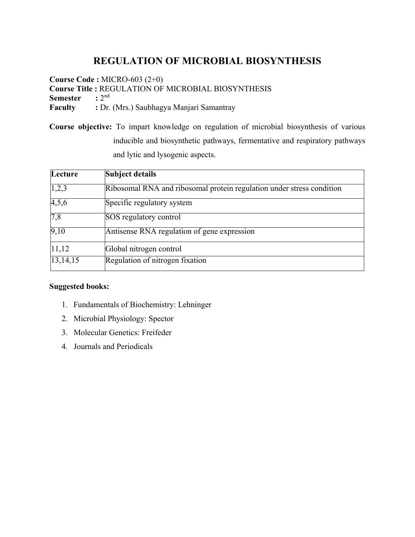## **REGULATION OF MICROBIAL BIOSYNTHESIS**

**Course Code :** MICRO-603 (2+0) **Course Title :** REGULATION OF MICROBIAL BIOSYNTHESIS **Semester** :  $2^{nd}$ **Faculty :** Dr. (Mrs.) Saubhagya Manjari Samantray

**Course objective:** To impart knowledge on regulation of microbial biosynthesis of various inducible and biosynthetic pathways, fermentative and respiratory pathways and lytic and lysogenic aspects.

| Lecture  | <b>Subject details</b>                                                |
|----------|-----------------------------------------------------------------------|
| 1,2,3    | Ribosomal RNA and ribosomal protein regulation under stress condition |
| 4,5,6    | Specific regulatory system                                            |
| 7,8      | SOS regulatory control                                                |
| 9,10     | Antisense RNA regulation of gene expression                           |
| 11,12    | Global nitrogen control                                               |
| 13,14,15 | Regulation of nitrogen fixation                                       |

- 1. Fundamentals of Biochemistry: Lehninger
- 2. Microbial Physiology: Spector
- 3. Molecular Genetics: Freifeder
- 4. Journals and Periodicals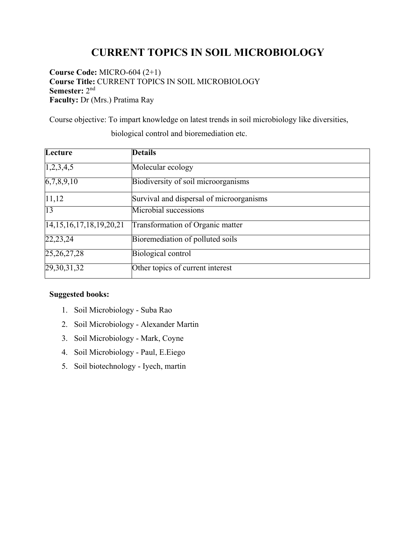# **CURRENT TOPICS IN SOIL MICROBIOLOGY**

**Course Code:** MICRO-604 (2+1) **Course Title:** CURRENT TOPICS IN SOIL MICROBIOLOGY **Semester:** 2nd **Faculty:** Dr (Mrs.) Pratima Ray

Course objective: To impart knowledge on latest trends in soil microbiology like diversities,

| Lecture                               | <b>Details</b>                           |
|---------------------------------------|------------------------------------------|
| 1,2,3,4,5                             | Molecular ecology                        |
| $\overline{6,7,8,9,10}$               | Biodiversity of soil microorganisms      |
| 11,12                                 | Survival and dispersal of microorganisms |
| $\overline{13}$                       | Microbial successions                    |
| $\overline{14,15,16,17}, 18,19,20,21$ | Transformation of Organic matter         |
| 22, 23, 24                            | Bioremediation of polluted soils         |
| 25, 26, 27, 28                        | Biological control                       |
| 29, 30, 31, 32                        | Other topics of current interest         |

biological control and bioremediation etc.

- 1. Soil Microbiology Suba Rao
- 2. Soil Microbiology Alexander Martin
- 3. Soil Microbiology Mark, Coyne
- 4. Soil Microbiology Paul, E.Eiego
- 5. Soil biotechnology Iyech, martin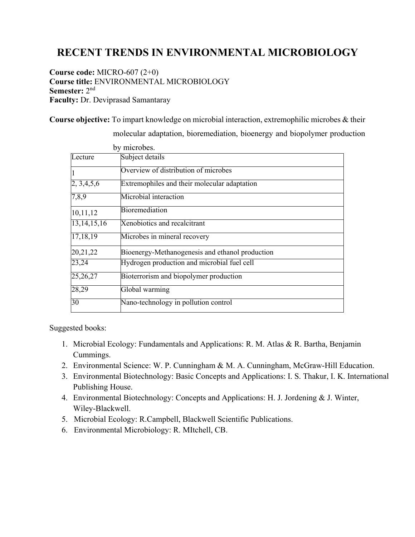# **RECENT TRENDS IN ENVIRONMENTAL MICROBIOLOGY**

**Course code:** MICRO-607 (2+0) **Course title:** ENVIRONMENTAL MICROBIOLOGY **Semester:** 2nd **Faculty:** Dr. Deviprasad Samantaray

**Course objective:** To impart knowledge on microbial interaction, extremophilic microbes & their

by microbes. Lecture Subject details Overview of distribution of microbes 2, 3,4,5,6 Extremophiles and their molecular adaptation 7,8,9 Microbial interaction 10,11,12 Bioremediation 13,14,15,16 Xenobiotics and recalcitrant 17,18,19 Microbes in mineral recovery 20,21,22 Bioenergy-Methanogenesis and ethanol production 23,24 Hydrogen production and microbial fuel cell 25,26,27 Bioterrorism and biopolymer production 28,29 Global warming 30 Nano-technology in pollution control

molecular adaptation, bioremediation, bioenergy and biopolymer production

- 1. Microbial Ecology: Fundamentals and Applications: R. M. Atlas & R. Bartha, Benjamin Cummings.
- 2. Environmental Science: W. P. Cunningham & M. A. Cunningham, McGraw-Hill Education.
- 3. Environmental Biotechnology: Basic Concepts and Applications: I. S. Thakur, I. K. International Publishing House.
- 4. Environmental Biotechnology: Concepts and Applications: H. J. Jordening & J. Winter, Wiley-Blackwell.
- 5. Microbial Ecology: R.Campbell, Blackwell Scientific Publications.
- 6. Environmental Microbiology: R. MItchell, CB.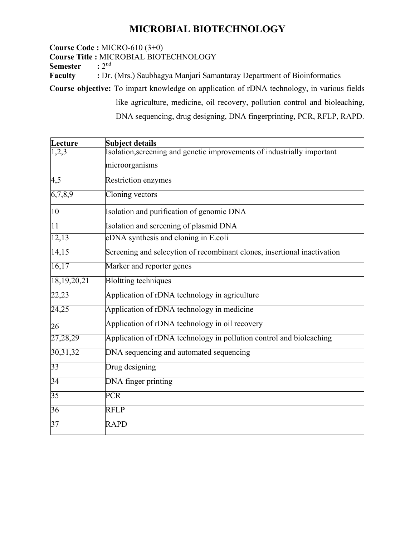## **MICROBIAL BIOTECHNOLOGY**

**Course Code :** MICRO-610 (3+0)

**Course Title : MICROBIAL BIOTECHNOLOGY**<br>Semester : 2<sup>nd</sup>

**Semester** 

**Faculty** : Dr. (Mrs.) Saubhagya Manjari Samantaray Department of Bioinformatics

**Course objective:** To impart knowledge on application of rDNA technology, in various fields

like agriculture, medicine, oil recovery, pollution control and bioleaching, DNA sequencing, drug designing, DNA fingerprinting, PCR, RFLP, RAPD.

| Lecture     | <b>Subject details</b>                                                   |
|-------------|--------------------------------------------------------------------------|
| 1,2,3       | Isolation, screening and genetic improvements of industrially important  |
|             | microorganisms                                                           |
| 4,5         | Restriction enzymes                                                      |
| 6,7,8,9     | Cloning vectors                                                          |
| 10          | Isolation and purification of genomic DNA                                |
| 11          | Isolation and screening of plasmid DNA                                   |
| 12,13       | cDNA synthesis and cloning in E.coli                                     |
| 14,15       | Screening and selecytion of recombinant clones, insertional inactivation |
| 16,17       | Marker and reporter genes                                                |
| 18,19,20,21 | <b>Bloltting techniques</b>                                              |
| 22,23       | Application of rDNA technology in agriculture                            |
| 24,25       | Application of rDNA technology in medicine                               |
| 26          | Application of rDNA technology in oil recovery                           |
| 27,28,29    | Application of rDNA technology in pollution control and bioleaching      |
| 30, 31, 32  | DNA sequencing and automated sequencing                                  |
| 33          | Drug designing                                                           |
| 34          | DNA finger printing                                                      |
| 35          | <b>PCR</b>                                                               |
| 36          | <b>RFLP</b>                                                              |
| 37          | <b>RAPD</b>                                                              |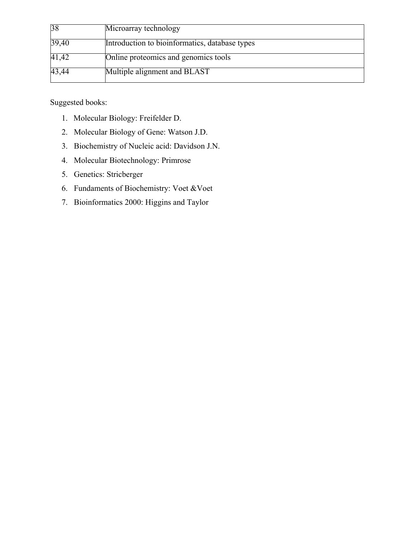| 38    | Microarray technology                          |
|-------|------------------------------------------------|
| 39,40 | Introduction to bioinformatics, database types |
| 41,42 | Online proteomics and genomics tools           |
| 43,44 | Multiple alignment and BLAST                   |

- 1. Molecular Biology: Freifelder D.
- 2. Molecular Biology of Gene: Watson J.D.
- 3. Biochemistry of Nucleic acid: Davidson J.N.
- 4. Molecular Biotechnology: Primrose
- 5. Genetics: Stricberger
- 6. Fundaments of Biochemistry: Voet &Voet
- 7. Bioinformatics 2000: Higgins and Taylor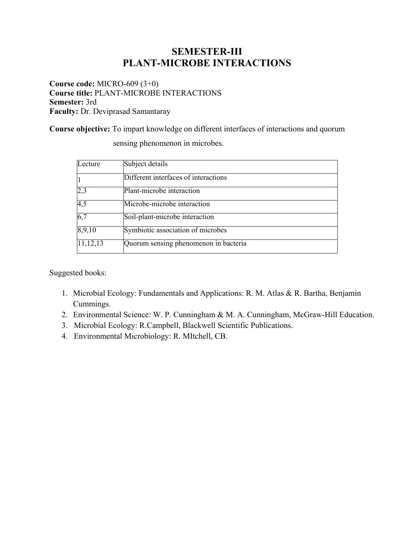### **SEMESTER-III PLANT-MICROBE INTERACTIONS**

**Course code:** MICRO-609 (3+0) **Course title:** PLANT-MICROBE INTERACTIONS **Semester:** 3rd **Faculty:** Dr. Deviprasad Samantaray

**Course objective:** To impart knowledge on different interfaces of interactions and quorum

| Lecture    | Subject details                       |  |
|------------|---------------------------------------|--|
|            | Different interfaces of interactions  |  |
| 2,3        | Plant-microbe interaction             |  |
| 4,5        | Microbe-microbe interaction           |  |
| 6,7        | Soil-plant-microbe interaction        |  |
| 8,9,10     | Symbiotic association of microbes     |  |
| 11, 12, 13 | Quorum sensing phenomenon in bacteria |  |

sensing phenomenon in microbes.

- 1. Microbial Ecology: Fundamentals and Applications: R. M. Atlas & R. Bartha, Benjamin Cummings.
- 2. Environmental Science: W. P. Cunningham & M. A. Cunningham, McGraw-Hill Education.
- 3. Microbial Ecology: R.Campbell, Blackwell Scientific Publications.
- 4. Environmental Microbiology: R. MItchell, CB.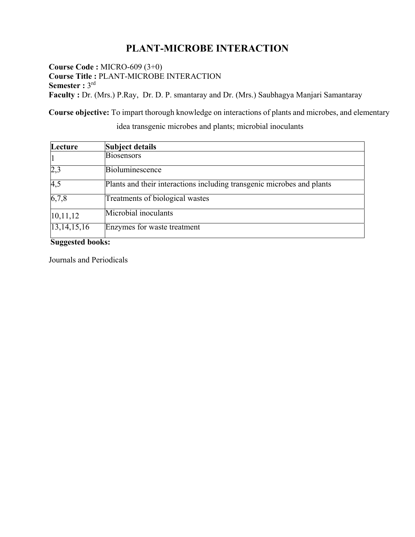### **PLANT-MICROBE INTERACTION**

**Course Code :** MICRO-609 (3+0) **Course Title :** PLANT-MICROBE INTERACTION Semester : 3rd **Faculty :** Dr. (Mrs.) P.Ray, Dr. D. P. smantaray and Dr. (Mrs.) Saubhagya Manjari Samantaray

**Course objective:** To impart thorough knowledge on interactions of plants and microbes, and elementary

| Lecture          | Subject details                                                        |
|------------------|------------------------------------------------------------------------|
| 1                | Biosensors                                                             |
| 2,3              | Bioluminescence                                                        |
| $\overline{4,5}$ | Plants and their interactions including transgenic microbes and plants |
| 6,7,8            | Treatments of biological wastes                                        |
| 10, 11, 12       | Microbial inoculants                                                   |
| 13,14,15,16      | Enzymes for waste treatment                                            |

idea transgenic microbes and plants; microbial inoculants

**Suggested books:** 

Journals and Periodicals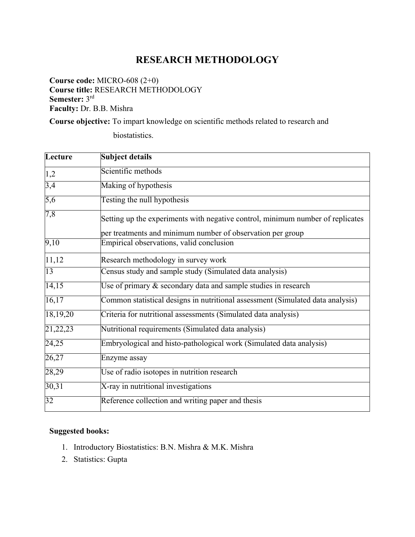### **RESEARCH METHODOLOGY**

**Course code:** MICRO-608 (2+0) **Course title:** RESEARCH METHODOLOGY **Semester:** 3rd **Faculty:** Dr. B.B. Mishra

**Course objective:** To impart knowledge on scientific methods related to research and

biostatistics.

| Lecture           | <b>Subject details</b>                                                                                                                       |
|-------------------|----------------------------------------------------------------------------------------------------------------------------------------------|
| 1,2               | Scientific methods                                                                                                                           |
| 3,4               | Making of hypothesis                                                                                                                         |
| 5,6               | Testing the null hypothesis                                                                                                                  |
| 7,8               | Setting up the experiments with negative control, minimum number of replicates<br>per treatments and minimum number of observation per group |
| $\overline{9,10}$ | Empirical observations, valid conclusion                                                                                                     |
| 11,12             | Research methodology in survey work                                                                                                          |
| 13                | Census study and sample study (Simulated data analysis)                                                                                      |
| 14,15             | Use of primary & secondary data and sample studies in research                                                                               |
| 16,17             | Common statistical designs in nutritional assessment (Simulated data analysis)                                                               |
| 18,19,20          | Criteria for nutritional assessments (Simulated data analysis)                                                                               |
| 21,22,23          | Nutritional requirements (Simulated data analysis)                                                                                           |
| 24,25             | Embryological and histo-pathological work (Simulated data analysis)                                                                          |
| 26,27             | Enzyme assay                                                                                                                                 |
| 28,29             | Use of radio isotopes in nutrition research                                                                                                  |
| 30,31             | X-ray in nutritional investigations                                                                                                          |
| 32                | Reference collection and writing paper and thesis                                                                                            |

- 1. Introductory Biostatistics: B.N. Mishra & M.K. Mishra
- 2. Statistics: Gupta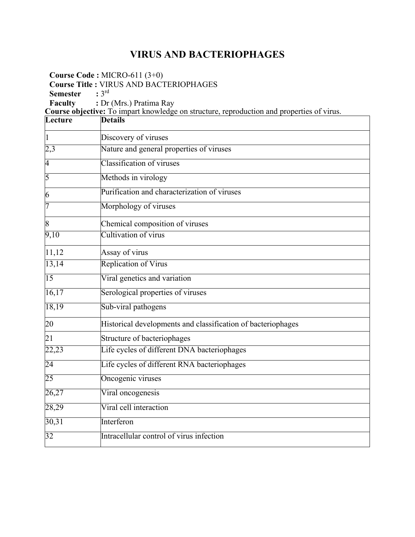## **VIRUS AND BACTERIOPHAGES**

٦

**Course Code :** MICRO-611 (3+0) **Course Title : VIRUS AND BACTERIOPHAGES**<br>**Semester** : 3<sup>rd</sup>

**Semester** 

**Faculty** : Dr (Mrs.) Pratima Ray

**Course objective:** To impart knowledge on structure, reproduction and properties of virus.

| Lecture        | <b>Details</b>                                               |
|----------------|--------------------------------------------------------------|
| $\vert$ 1      | Discovery of viruses                                         |
| 2,3            | Nature and general properties of viruses                     |
| $\overline{4}$ | Classification of viruses                                    |
| 5              | Methods in virology                                          |
| 6              | Purification and characterization of viruses                 |
| 7              | Morphology of viruses                                        |
| 8              | Chemical composition of viruses                              |
| 9,10           | Cultivation of virus                                         |
| 11,12          | Assay of virus                                               |
| 13,14          | <b>Replication of Virus</b>                                  |
| 15             | Viral genetics and variation                                 |
| 16,17          | Serological properties of viruses                            |
| 18,19          | Sub-viral pathogens                                          |
| 20             | Historical developments and classification of bacteriophages |
| 21             | Structure of bacteriophages                                  |
| 22,23          | Life cycles of different DNA bacteriophages                  |
| 24             | Life cycles of different RNA bacteriophages                  |
| 25             | Oncogenic viruses                                            |
| 26,27          | Viral oncogenesis                                            |
| 28,29          | Viral cell interaction                                       |
| 30,31          | Interferon                                                   |
| 32             | Intracellular control of virus infection                     |